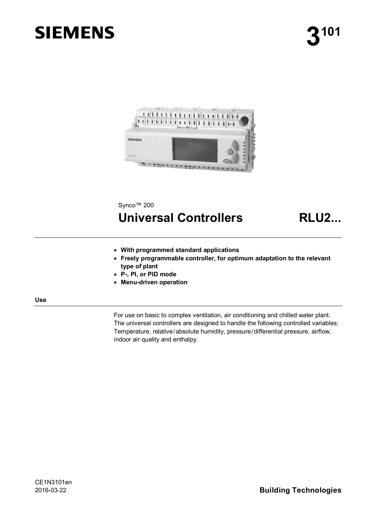# **SIEMENS**



## Synco<sup>™</sup> 200

## **Universal Controllers RLU2...**

- x **With programmed standard applications**
- **Freely programmable controller, for optimum adaptation to the relevant type of plant**
- x **P-, PI, or PID mode**
- x **Menu-driven operation**

**Use** 

For use on basic to complex ventilation, air conditioning and chilled water plant. The universal controllers are designed to handle the following controlled variables: Temperature, relative/absolute humidity, pressure/differential pressure, airflow, indoor air quality and enthalpy.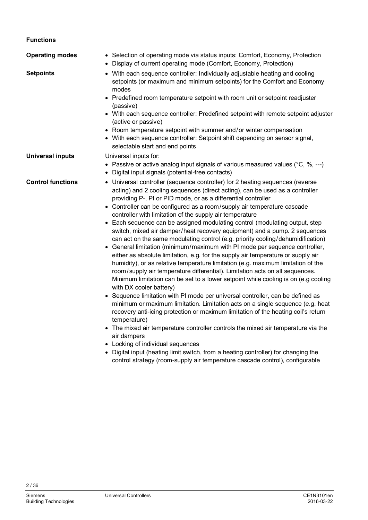#### **Functions**

| <b>Operating modes</b>   | • Selection of operating mode via status inputs: Comfort, Economy, Protection<br>• Display of current operating mode (Comfort, Economy, Protection)                                                                            |
|--------------------------|--------------------------------------------------------------------------------------------------------------------------------------------------------------------------------------------------------------------------------|
| <b>Setpoints</b>         | • With each sequence controller: Individually adjustable heating and cooling<br>setpoints (or maximum and minimum setpoints) for the Comfort and Economy<br>modes                                                              |
|                          | • Predefined room temperature setpoint with room unit or setpoint readjuster<br>(passive)                                                                                                                                      |
|                          | • With each sequence controller: Predefined setpoint with remote setpoint adjuster<br>(active or passive)                                                                                                                      |
|                          | • Room temperature setpoint with summer and/or winter compensation<br>• With each sequence controller: Setpoint shift depending on sensor signal,<br>selectable start and end points                                           |
| <b>Universal inputs</b>  | Universal inputs for:                                                                                                                                                                                                          |
|                          | • Passive or active analog input signals of various measured values ( $°C$ , %, ---)<br>Digital input signals (potential-free contacts)<br>$\bullet$                                                                           |
| <b>Control functions</b> | • Universal controller (sequence controller) for 2 heating sequences (reverse<br>acting) and 2 cooling sequences (direct acting), can be used as a controller<br>providing P-, PI or PID mode, or as a differential controller |
|                          | • Controller can be configured as a room/supply air temperature cascade                                                                                                                                                        |
|                          | controller with limitation of the supply air temperature                                                                                                                                                                       |
|                          | • Each sequence can be assigned modulating control (modulating output, step<br>switch, mixed air damper/heat recovery equipment) and a pump. 2 sequences                                                                       |
|                          | can act on the same modulating control (e.g. priority cooling/dehumidification)<br>General limitation (minimum/maximum with PI mode per sequence controller,<br>$\bullet$                                                      |
|                          | either as absolute limitation, e.g. for the supply air temperature or supply air<br>humidity), or as relative temperature limitation (e.g. maximum limitation of the                                                           |
|                          | room/supply air temperature differential). Limitation acts on all sequences.<br>Minimum limitation can be set to a lower setpoint while cooling is on (e.g cooling                                                             |
|                          | with DX cooler battery)                                                                                                                                                                                                        |
|                          | • Sequence limitation with PI mode per universal controller, can be defined as<br>minimum or maximum limitation. Limitation acts on a single sequence (e.g. heat                                                               |
|                          | recovery anti-icing protection or maximum limitation of the heating coil's return<br>temperature)                                                                                                                              |
|                          | • The mixed air temperature controller controls the mixed air temperature via the<br>air dampers                                                                                                                               |
|                          | • Locking of individual sequences                                                                                                                                                                                              |
|                          | • Digital input (heating limit switch, from a heating controller) for changing the<br>control strategy (room-supply air temperature cascade control), configurable                                                             |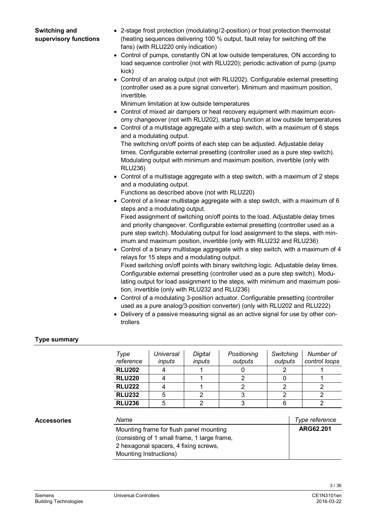- **Switching and supervisory functions**
- 2-stage frost protection (modulating/2-position) or frost protection thermostat (heating sequences delivering 100 % output, fault relay for switching off the fans) (with RLU220 only indication)
- Control of pumps, constantly ON at low outside temperatures, ON according to load sequence controller (not with RLU220); periodic activation of pump (pump kick)
- Control of an analog output (not with RLU202). Configurable external presetting (controller used as a pure signal converter). Minimum and maximum position, invertible.

Minimum limitation at low outside temperatures

- Control of mixed air dampers or heat recovery equipment with maximum economy changeover (not with RLU202), startup function at low outside temperatures
- Control of a multistage aggregate with a step switch, with a maximum of 6 steps and a modulating output.

The switching on/off points of each step can be adjusted. Adjustable delay times. Configurable external presetting (controller used as a pure step switch). Modulating output with minimum and maximum position, invertible (only with RLU236)

 $\bullet$  Control of a multistage aggregate with a step switch, with a maximum of 2 steps and a modulating output.

Functions as described above (not with RLU220)

 $\bullet$  Control of a linear multistage aggregate with a step switch, with a maximum of 6 steps and a modulating output.

Fixed assignment of switching on/off points to the load. Adjustable delay times and priority changeover. Configurable external presetting (controller used as a pure step switch). Modulating output for load assignment to the steps, with minimum and maximum position, invertible (only with RLU232 and RLU236)

- $\bullet$  Control of a binary multistage aggregate with a step switch, with a maximum of 4 relays for 15 steps and a modulating output. Fixed switching on/off points with binary switching logic. Adjustable delay times. Configurable external presetting (controller used as a pure step switch). Modulating output for load assignment to the steps, with minimum and maximum position, invertible (only with RLU232 and RLU236)
- Control of a modulating 3-position actuator. Configurable presetting (controller used as a pure analog/3-position converter) (only with RLU202 and RLU222)
- Delivery of a passive measuring signal as an active signal for use by other controllers

### **Type summary**

| Type<br>reference | Universal<br>inputs | Digital<br>inputs | Positioning<br>outputs | Switching<br>outputs | Number of<br>control loops |
|-------------------|---------------------|-------------------|------------------------|----------------------|----------------------------|
| <b>RLU202</b>     |                     |                   |                        |                      |                            |
| <b>RLU220</b>     |                     |                   |                        |                      |                            |
| <b>RLU222</b>     |                     |                   |                        |                      |                            |
| <b>RLU232</b>     | 5                   |                   |                        |                      |                            |
| <b>RLU236</b>     | 5                   |                   |                        |                      |                            |

#### **Accessories**

| Name                                                                                                                                                       | Type reference |
|------------------------------------------------------------------------------------------------------------------------------------------------------------|----------------|
| Mounting frame for flush panel mounting<br>(consisting of 1 small frame, 1 large frame,<br>2 hexagonal spacers, 4 fixing screws,<br>Mounting Instructions) | ARG62.201      |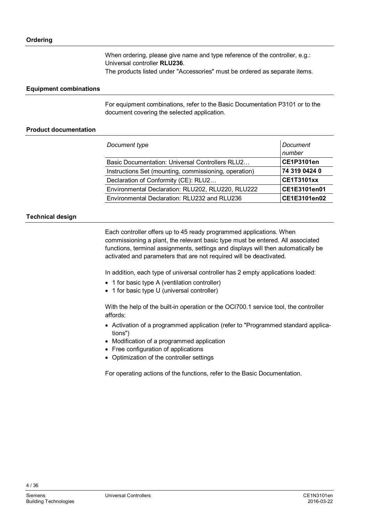When ordering, please give name and type reference of the controller, e.g.: Universal controller **RLU236**. The products listed under "Accessories" must be ordered as separate items.

#### **Equipment combinations**

For equipment combinations, refer to the Basic Documentation P3101 or to the document covering the selected application.

#### **Product documentation**

| Document type                                         | Document<br>number |
|-------------------------------------------------------|--------------------|
| Basic Documentation: Universal Controllers RLU2       | <b>CE1P3101en</b>  |
| Instructions Set (mounting, commissioning, operation) | 74 319 0424 0      |
| Declaration of Conformity (CE): RLU2                  | <b>CE1T3101xx</b>  |
| Environmental Declaration: RLU202, RLU220, RLU222     | CE1E3101en01       |
| Environmental Declaration: RLU232 and RLU236          | CE1E3101en02       |

### **Technical design**

Each controller offers up to 45 ready programmed applications. When commissioning a plant, the relevant basic type must be entered. All associated functions, terminal assignments, settings and displays will then automatically be activated and parameters that are not required will be deactivated.

In addition, each type of universal controller has 2 empty applications loaded:

- 1 for basic type A (ventilation controller)
- 1 for basic type U (universal controller)

With the help of the built-in operation or the OCI700.1 service tool, the controller affords:

- Activation of a programmed application (refer to "Programmed standard applications")
- Modification of a programmed application
- Free configuration of applications
- Optimization of the controller settings

For operating actions of the functions, refer to the Basic Documentation.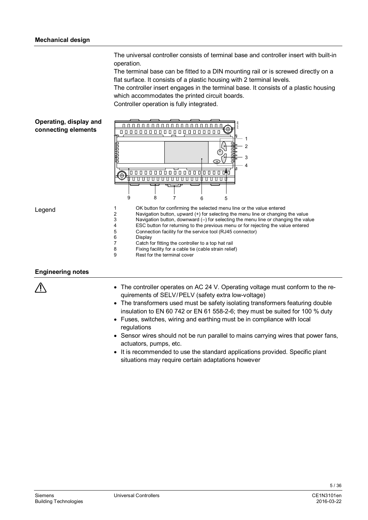The universal controller consists of terminal base and controller insert with built-in operation.

The terminal base can be fitted to a DIN mounting rail or is screwed directly on a flat surface. It consists of a plastic housing with 2 terminal levels.

The controller insert engages in the terminal base. It consists of a plastic housing which accommodates the printed circuit boards.

Controller operation is fully integrated.



#### **Engineering notes**

- The controller operates on AC 24 V. Operating voltage must conform to the requirements of SELV/PELV (safety extra low-voltage)
- The transformers used must be safety isolating transformers featuring double insulation to EN 60 742 or EN 61 558-2-6; they must be suited for 100 % duty
- Fuses, switches, wiring and earthing must be in compliance with local regulations
- Sensor wires should not be run parallel to mains carrying wires that power fans, actuators, pumps, etc.
- It is recommended to use the standard applications provided. Specific plant situations may require certain adaptations however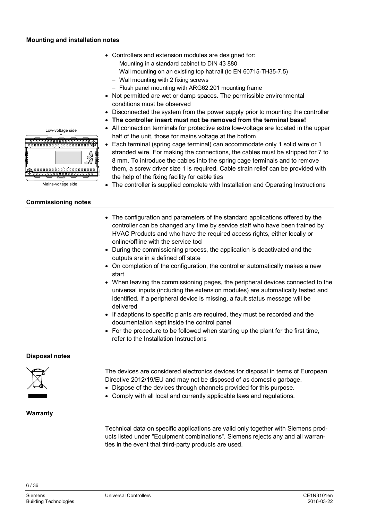- Controllers and extension modules are designed for:
	- $-$  Mounting in a standard cabinet to DIN 43 880
	- Wall mounting on an existing top hat rail (to EN 60715-TH35-7.5)
	- Wall mounting with 2 fixing screws
	- Flush panel mounting with ARG62.201 mounting frame
- Not permitted are wet or damp spaces. The permissible environmental conditions must be observed
- Disconnected the system from the power supply prior to mounting the controller
- The controller insert must not be removed from the terminal base!
- All connection terminals for protective extra low-voltage are located in the upper half of the unit, those for mains voltage at the bottom



• Each terminal (spring cage terminal) can accommodate only 1 solid wire or 1 stranded wire. For making the connections, the cables must be stripped for 7 to 8 mm. To introduce the cables into the spring cage terminals and to remove them, a screw driver size 1 is required. Cable strain relief can be provided with the help of the fixing facility for cable ties

- The controller is supplied complete with Installation and Operating Instructions
- The configuration and parameters of the standard applications offered by the controller can be changed any time by service staff who have been trained by HVAC Products and who have the required access rights, either locally or online/offline with the service tool
- During the commissioning process, the application is deactivated and the outputs are in a defined off state
- On completion of the configuration, the controller automatically makes a new start
- When leaving the commissioning pages, the peripheral devices connected to the universal inputs (including the extension modules) are automatically tested and identified. If a peripheral device is missing, a fault status message will be delivered
- If adaptions to specific plants are required, they must be recorded and the documentation kept inside the control panel
- $\bullet$  For the procedure to be followed when starting up the plant for the first time, refer to the Installation Instructions

### **Disposal notes**

| $\sum_{i=1}^{n}$ | The devices are considered electronics devices for disposal in terms of European<br>Directive 2012/19/EU and may not be disposed of as domestic garbage.<br>• Dispose of the devices through channels provided for this purpose.<br>• Comply with all local and currently applicable laws and regulations. |
|------------------|------------------------------------------------------------------------------------------------------------------------------------------------------------------------------------------------------------------------------------------------------------------------------------------------------------|
| Warranty         |                                                                                                                                                                                                                                                                                                            |

Technical data on specific applications are valid only together with Siemens products listed under "Equipment combinations". Siemens rejects any and all warranties in the event that third-party products are used.

Low-voltage side

Mains-voltage side

#### **Commissioning notes**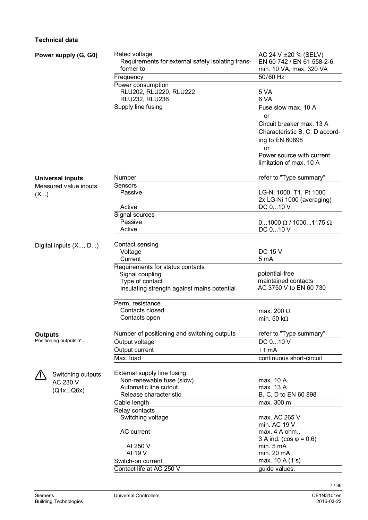| 50/60 Hz<br>Frequency<br>Power consumption<br>RLU202, RLU220, RLU222<br>5 VA<br><b>RLU232, RLU236</b><br>6 VA<br>Supply line fusing<br>Fuse slow max, 10 A<br>or<br>Circuit breaker max. 13 A<br>Characteristic B, C, D accord- |  |
|---------------------------------------------------------------------------------------------------------------------------------------------------------------------------------------------------------------------------------|--|
|                                                                                                                                                                                                                                 |  |
|                                                                                                                                                                                                                                 |  |
|                                                                                                                                                                                                                                 |  |
| ing to EN 60898<br><b>or</b><br>Power source with current                                                                                                                                                                       |  |
| limitation of max. 10 A                                                                                                                                                                                                         |  |
| Number<br>refer to "Type summary"<br><b>Universal inputs</b>                                                                                                                                                                    |  |
| Sensors<br>Measured value inputs<br>Passive<br>LG-Ni 1000, T1, Pt 1000<br>(X)<br>2x LG-Ni 1000 (averaging)<br>DC 010 V<br>Active                                                                                                |  |
| Signal sources                                                                                                                                                                                                                  |  |
| Passive<br>$01000 \Omega / 10001175 \Omega$                                                                                                                                                                                     |  |
| Active<br>DC 010 V                                                                                                                                                                                                              |  |
| Contact sensing<br>Digital inputs (X, D)<br><b>DC 15 V</b><br>Voltage<br>Current<br>5 <sub>m</sub> A                                                                                                                            |  |
| Requirements for status contacts                                                                                                                                                                                                |  |
| potential-free<br>Signal coupling                                                                                                                                                                                               |  |
| maintained contacts<br>Type of contact                                                                                                                                                                                          |  |
| AC 3750 V to EN 60 730<br>Insulating strength against mains potential                                                                                                                                                           |  |
| Perm. resistance                                                                                                                                                                                                                |  |
| Contacts closed<br>max. 200 $\Omega$                                                                                                                                                                                            |  |
| Contacts open<br>min. 50 k $\Omega$                                                                                                                                                                                             |  |
| Number of positioning and switching outputs<br>refer to "Type summary"<br><b>Outputs</b>                                                                                                                                        |  |
| Positioning outputs Y<br>Output voltage<br>DC 010 V                                                                                                                                                                             |  |
| Output current<br>$±1$ mA                                                                                                                                                                                                       |  |
| Max. load<br>continuous short-circuit                                                                                                                                                                                           |  |
| External supply line fusing<br>Switching outputs                                                                                                                                                                                |  |
| Non-renewable fuse (slow)<br>max. 10 A<br>AC 230 V                                                                                                                                                                              |  |
| max. 13 A<br>Automatic line cutout<br>(Q1xQ6x)                                                                                                                                                                                  |  |
| B, C, D to EN 60 898<br>Release characteristic                                                                                                                                                                                  |  |
| Cable length<br>max. 300 m                                                                                                                                                                                                      |  |
| Relay contacts                                                                                                                                                                                                                  |  |
| Switching voltage<br>max. AC 265 V                                                                                                                                                                                              |  |
| min. AC 19 V                                                                                                                                                                                                                    |  |
| AC current<br>max. $4$ A ohm.,<br>3 A ind. ( $\cos \varphi = 0.6$ )                                                                                                                                                             |  |
| min. 5 mA<br>At 250 V                                                                                                                                                                                                           |  |
| At 19 V<br>min. 20 mA                                                                                                                                                                                                           |  |
| max. 10 A (1 s)<br>Switch-on current                                                                                                                                                                                            |  |
| Contact life at AC 250 V<br>guide values:                                                                                                                                                                                       |  |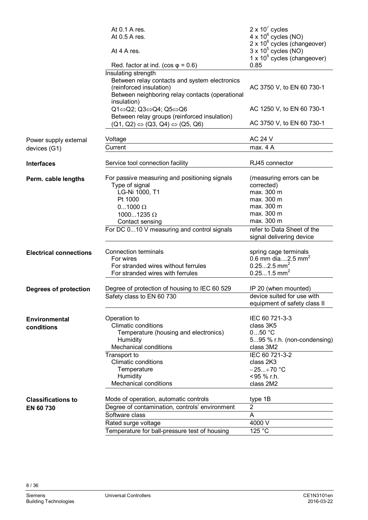|                               | At 0.1 A res.<br>At 0.5 A res.                                                                                                                                    | 2 x $10^7$ cycles<br>$4 \times 10^6$ cycles (NO)<br>$2 \times 10^6$ cycles (changeover)                          |
|-------------------------------|-------------------------------------------------------------------------------------------------------------------------------------------------------------------|------------------------------------------------------------------------------------------------------------------|
|                               | At 4 A res.                                                                                                                                                       | $3 \times 10^5$ cycles (NO)<br>$1 \times 10^5$ cycles (changeover)                                               |
|                               | Red. factor at ind. ( $cos \varphi = 0.6$ )                                                                                                                       | 0.85                                                                                                             |
|                               | Insulating strength<br>Between relay contacts and system electronics<br>(reinforced insulation)<br>Between neighboring relay contacts (operational<br>insulation) | AC 3750 V, to EN 60 730-1                                                                                        |
|                               | Q1⇔Q2; Q3⇔Q4; Q5⇔Q6<br>Between relay groups (reinforced insulation)                                                                                               | AC 1250 V, to EN 60 730-1                                                                                        |
|                               | $(Q1, Q2) \Leftrightarrow (Q3, Q4) \Leftrightarrow (Q5, Q6)$                                                                                                      | AC 3750 V, to EN 60 730-1                                                                                        |
| Power supply external         | Voltage                                                                                                                                                           | <b>AC 24 V</b>                                                                                                   |
| devices (G1)                  | Current                                                                                                                                                           | max. 4 A                                                                                                         |
| <b>Interfaces</b>             | Service tool connection facility                                                                                                                                  | RJ45 connector                                                                                                   |
| Perm. cable lengths           | For passive measuring and positioning signals<br>Type of signal<br>LG-Ni 1000, T1                                                                                 | (measuring errors can be<br>corrected)<br>max. 300 m                                                             |
|                               | Pt 1000                                                                                                                                                           | max. 300 m                                                                                                       |
|                               | $01000 \Omega$                                                                                                                                                    | max. 300 m                                                                                                       |
|                               | 10001235 $\Omega$                                                                                                                                                 | max. 300 m<br>max. 300 m                                                                                         |
|                               | Contact sensing                                                                                                                                                   |                                                                                                                  |
|                               | For DC 010 V measuring and control signals                                                                                                                        | refer to Data Sheet of the<br>signal delivering device                                                           |
| <b>Electrical connections</b> | Connection terminals<br>For wires<br>For stranded wires without ferrules                                                                                          | spring cage terminals<br>0.6 mm dia2.5 mm <sup>2</sup><br>$0.252.5$ mm <sup>2</sup><br>$0.251.5$ mm <sup>2</sup> |
|                               | For stranded wires with ferrules                                                                                                                                  |                                                                                                                  |
| Degrees of protection         | Degree of protection of housing to IEC 60 529                                                                                                                     | IP 20 (when mounted)<br>device suited for use with                                                               |
|                               | Safety class to EN 60 730                                                                                                                                         | equipment of safety class II                                                                                     |
| Environmental<br>conditions   | Operation to<br><b>Climatic conditions</b><br>Temperature (housing and electronics)<br>Humidity<br><b>Mechanical conditions</b>                                   | IEC 60 721-3-3<br>class 3K5<br>$050$ °C<br>595 % r.h. (non-condensing)<br>class 3M2                              |
|                               | Transport to<br><b>Climatic conditions</b><br>Temperature                                                                                                         | IEC 60 721-3-2<br>class 2K3<br>$-25+70$ °C                                                                       |
|                               | Humidity<br><b>Mechanical conditions</b>                                                                                                                          | <95 % r.h.<br>class 2M2                                                                                          |
| <b>Classifications to</b>     | Mode of operation, automatic controls                                                                                                                             | type 1B                                                                                                          |
| EN 60 730                     | Degree of contamination, controls' environment                                                                                                                    | 2                                                                                                                |
|                               | Software class                                                                                                                                                    | A                                                                                                                |
|                               | Rated surge voltage                                                                                                                                               | 4000 V                                                                                                           |
|                               | Temperature for ball-pressure test of housing                                                                                                                     | 125 °C                                                                                                           |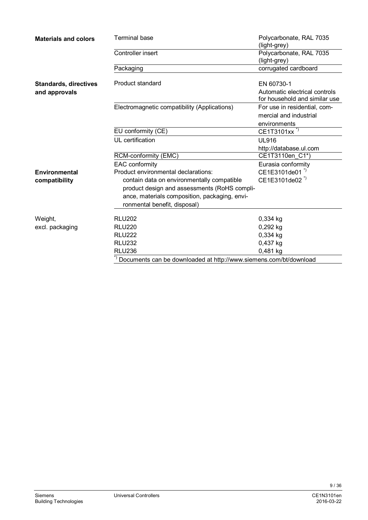| <b>Materials and colors</b>  | <b>Terminal base</b>                                              | Polycarbonate, RAL 7035<br>(light-grey)                        |  |
|------------------------------|-------------------------------------------------------------------|----------------------------------------------------------------|--|
|                              | Controller insert                                                 | Polycarbonate, RAL 7035<br>(light-grey)                        |  |
|                              | Packaging                                                         | corrugated cardboard                                           |  |
| <b>Standards, directives</b> | Product standard                                                  | EN 60730-1                                                     |  |
| and approvals                |                                                                   | Automatic electrical controls<br>for household and similar use |  |
|                              | Electromagnetic compatibility (Applications)                      | For use in residential, com-<br>mercial and industrial         |  |
|                              | EU conformity (CE)                                                | environments<br>CE1T3101xx <sup>*)</sup>                       |  |
|                              | UL certification                                                  | <b>UL916</b>                                                   |  |
|                              |                                                                   | http://database.ul.com<br>CE1T3110en C1*)                      |  |
|                              | RCM-conformity (EMC)<br><b>EAC</b> conformity                     | Eurasia conformity                                             |  |
| Environmental                | Product environmental declarations:                               | CE1E3101de01 <sup>*)</sup>                                     |  |
| compatibility                | contain data on environmentally compatible                        | CE1E3101de02 <sup>"</sup>                                      |  |
|                              | product design and assessments (RoHS compli-                      |                                                                |  |
|                              | ance, materials composition, packaging, envi-                     |                                                                |  |
|                              | ronmental benefit, disposal)                                      |                                                                |  |
| Weight,                      | <b>RLU202</b>                                                     | 0,334 kg                                                       |  |
| excl. packaging              | <b>RLU220</b>                                                     | $0,292$ kg                                                     |  |
|                              | <b>RLU222</b>                                                     | 0,334 kg                                                       |  |
|                              | <b>RLU232</b>                                                     | 0,437 kg                                                       |  |
|                              | <b>RLU236</b>                                                     | 0,481 kg                                                       |  |
|                              | Documents can be downloaded at http://www.siemens.com/bt/download |                                                                |  |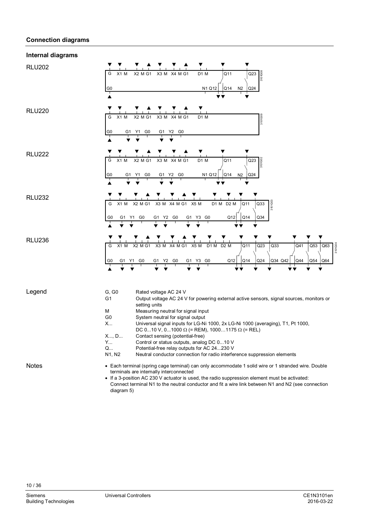#### **Connection diagrams**

#### G G0 X1 M X2 M G1 X3 M X4 M G1 D1 M Q24  $\bigcap$ N1 Q12 | Q14 N2  $\overline{O11}$ 3101G08 Y1 G0 G G0 X1 M X2 M G1 X3 M X4 M G1 D1 M G1  $G<sub>0</sub>$ 3101G09  $G<sub>0</sub>$ G  $G($ X1 M X2 M G1 X3 M X4 M G1 D1 M G1 G1 Y2 G0 N1 Q12 | Q14 N2 | Q24  $\Omega$  $Q14$  $\overline{O11}$ 3101G02 Y1 G0 G G0 X1 M X2 M G1 X3 M X4 M G1 X5 M D1 M G1 G1 Y2 G0 G1 Y3 G0 Q12 Q14 Q34  $\overline{O33}$ Q12  $\overline{O11}$ G1 Y3  $X5 M$  D<sub>1</sub> M<sub>D</sub><sub>2</sub> M 3101G03 Y1 G0 G G0 X1 M X2 M G1 X3 M X4 M G1 X5 M D1 M G1 X4 M G1 G1 Y2 G0 G1 Y3 G0 Q12 Q12 Q14 Q24  $\overline{O23}$  $Q12$  Q14  $\overline{011}$  $G<sub>0</sub>$ X5 M D2 M Q34 Q42  $Q<sub>33</sub>$ Q54  $\overline{O53}$ Q64  $\overline{O63}$  $O<sub>44</sub>$  $\overline{\Omega}$ 3101G04 G, G0 Rated voltage AC 24 V G1 Output voltage AC 24 V for powering external active sensors, signal sources, monitors or setting units M Measuring neutral for signal input G0 System neutral for signal output X... Universal signal inputs for LG-Ni 1000, 2x LG-Ni 1000 (averaging), T1, Pt 1000, DC 0...10 V, 0...1000  $\Omega$  (= REM), 1000...1175  $\Omega$  (= REL) X..., D... Contact sensing (potential-free)<br>Y... Control or status outputs, analog Control or status outputs, analog DC 0...10 V Q... Potential-free relay outputs for AC 24...230 V<br>N1, N2 Neutral conductor connection for radio interfe Neutral conductor connection for radio interference suppression elements • Each terminal (spring cage terminal) can only accommodate 1 solid wire or 1 stranded wire. Double terminals are internally interconnected • If a 3-position AC 230 V actuator is used, the radio suppression element must be activated: Connect terminal N1 to the neutral conductor and fit a wire link between N1 and N2 (see connection diagram 5) **Internal diagrams**  RLU202 RLU220 RLU222 RLU232 RLU236 Legend **Notes**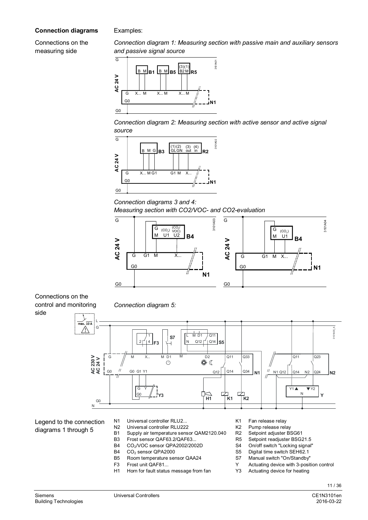#### **Connection diagrams**

Examples:

Connections on the measuring side

*Connection diagram 1: Measuring section with passive main and auxiliary sensors and passive signal source* 



*Connection diagram 2: Measuring section with active sensor and active signal source* 



*Connection diagrams 3 and 4:* 

*Measuring section with CO2/VOC- and CO2-evaluation* 



Connections on the control and monitoring side

*Connection diagram 5:* 



Legend to the connection diagrams 1 through 5

- N1 Universal controller RLU2... K1 Fan release relay
- N2 Universal controller RLU222 K2 Pump release relay
- B1 Supply air temperature sensor QAM2120.040 R2 Setpoint adjuster BSG61
- B3 Frost sensor QAF63.2/QAF63... R5 Setpoint readjuster BSG21.5<br>B4 CO<sub>2</sub>/VOC sensor QPA2002/2002D S4 On/off switch "Locking signal"
- CO<sub>2</sub>/VOC sensor QPA2002/2002D
- B4 CO<sub>2</sub> sensor QPA2000 S5 Digital time switch SEH62.1<br>B5 Room temperature sensor QAA24 S7 Manual switch "On/Standby"
- Room temperature sensor QAA24
- 
- H1 Horn for fault status message from fan Y3 Actuating device for heating
- 
- 
- 
- 
- 
- 
- 
- F3 Frost unit QAF81... The Secret Control of Multimateur Control of Actuating device with 3-position control
	-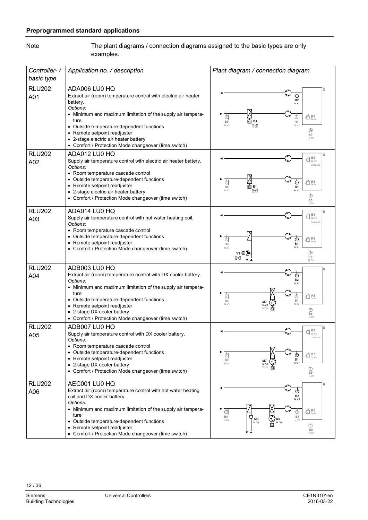## **Preprogrammed standard applications**

The plant diagrams / connection diagrams assigned to the basic types are only examples. Note

| Controller-/<br>basic type | Application no. / description                                                                                                                                                                                                                                                                                                                                 | Plant diagram / connection diagram                                                                                                                                                                      |
|----------------------------|---------------------------------------------------------------------------------------------------------------------------------------------------------------------------------------------------------------------------------------------------------------------------------------------------------------------------------------------------------------|---------------------------------------------------------------------------------------------------------------------------------------------------------------------------------------------------------|
| <b>RLU202</b><br>A01       | ADA006 LU0 HQ<br>Extract air (room) temperature control with electric air heater<br>battery.<br>Options:<br>• Minimum and maximum limitation of the supply air tempera-<br>ture<br>• Outside temperature-dependent functions<br>• Remote setpoint readjuster<br>• 2-stage electric air heater battery<br>• Comfort / Protection Mode changeover (time switch) | <b>B2</b><br>N.X <sup>-</sup><br>d<br>$\times$ R <sub>N.X4</sub><br>⊕<br>E1<br>B <sub>9</sub><br><b>B1</b><br>N.Q1<br>N.X3<br>N.X2<br>⊕<br>S <sub>5</sub><br>N.D1                                       |
| <b>RLU202</b><br>A02       | ADA012 LU0 HQ<br>Supply air temperature control with electric air heater battery.<br>Options:<br>• Room temperature cascade control<br>• Outside temperature-dependent functions<br>• Remote setpoint readjuster<br>2-stage electric air heater battery<br>• Comfort / Protection Mode changeover (time switch)                                               | $\bigoplus_{N.X2} \mathbf{B5}$<br>Cascade<br>$\times$ R5<br>$_{N,X4}$<br>đ<br><b>TITL</b><br>E <sub>1</sub><br><b>B1</b><br>B <sub>9</sub><br>N.Q1<br>N.X1<br>N.X3<br>$\odot$<br>S <sub>5</sub><br>N.D1 |
| <b>RLU202</b><br>A03       | ADA014 LU0 HQ<br>Supply air temperature control with hot water heating coil.<br>Options:<br>• Room temperature cascade control<br>• Outside temperature-dependent functions<br>• Remote setpoint readjuster<br>Comfort / Protection Mode changeover (time switch)                                                                                             | $\bigoplus_{N,X2}$<br>Cascade<br>đ<br>$\times$ R <sub>N.X4</sub><br>⊕<br><b>B1</b><br>B <sub>9</sub><br>N.X1<br>N.X3<br>$\circledcirc$<br>Y3 (M<br>N.Q1<br>S <sub>5</sub><br>N.D1                       |
| <b>RLU202</b><br>A04       | ADB003 LU0 HQ<br>Extract air (room) temperature control with DX cooler battery.<br>Options:<br>• Minimum and maximum limitation of the supply air tempera-<br>ture<br>• Outside temperature-dependent functions<br>• Remote setpoint readjuster<br>2-stage DX cooler battery<br>• Comfort / Protection Mode changeover (time switch)                          | ⊙<br><b>B2</b><br>N.X1<br>d<br>$\times$ R5<br>$_{\rm N X4}$<br>⊕<br><b>B1</b><br>B <sub>9</sub><br>M7<br>N.X2<br>N.X3<br>N.Q1<br>N.Q2<br>⊕<br>S <sub>5</sub><br>N.D1                                    |
| <b>RLU202</b><br>A05       | ADB007 LU0 HQ<br>Supply air temperature control with DX cooler battery.<br>Options:<br>• Room temperature cascade control<br>• Outside temperature-dependent functions<br>• Remote setpoint readjuster<br>• 2-stage DX cooler battery<br>• Comfort / Protection Mode changeover (time switch)                                                                 | B5<br>$\bigoplus_{N,X2}$<br>Cascade<br>đ<br>$\tfrac{\pi}{10}$ R5<br>⊕<br><b>B1</b><br>B <sub>9</sub><br>M7<br>N.X1<br>N.X3<br>$N.Q1$<br>$N.Q2$<br>$\odot$<br>S <sub>5</sub><br>N.D1                     |
| <b>RLU202</b><br>A06       | AEC001 LU0 HQ<br>Extract air (room) temperature control with hot water heating<br>coil and DX cooler battery.<br>Options:<br>• Minimum and maximum limitation of the supply air tempera-<br>ture<br>• Outside temperature-dependent functions<br>• Remote setpoint readjuster<br>Comfort / Protection Mode changeover (time switch)                           | $^\copyright$<br><b>B2</b><br>N.X1<br>$40R_{N,X4}$<br>€<br>B <sub>9</sub><br><b>B1</b><br>M <sub>3</sub><br>N.X3<br>N.X2<br>N.Q1<br>N.Q2<br>$\circledcirc$<br>S <sub>5</sub><br>N.D1                    |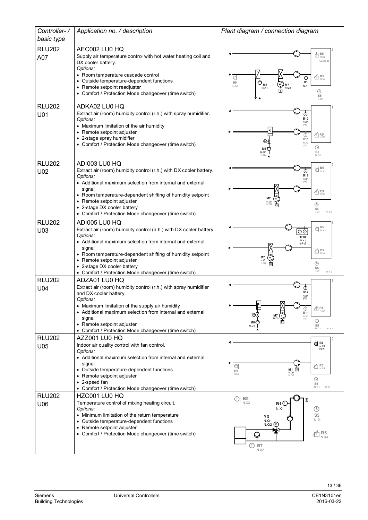| Controller-/         | Application no. / description                                                                                                                                                                                                                                                                                          | Plant diagram / connection diagram                                                                                                                                                                                                                                                                                                                                                                                                                                                                                                                                                                                            |
|----------------------|------------------------------------------------------------------------------------------------------------------------------------------------------------------------------------------------------------------------------------------------------------------------------------------------------------------------|-------------------------------------------------------------------------------------------------------------------------------------------------------------------------------------------------------------------------------------------------------------------------------------------------------------------------------------------------------------------------------------------------------------------------------------------------------------------------------------------------------------------------------------------------------------------------------------------------------------------------------|
| basic type           |                                                                                                                                                                                                                                                                                                                        |                                                                                                                                                                                                                                                                                                                                                                                                                                                                                                                                                                                                                               |
| <b>RLU202</b><br>A07 | AEC002 LU0 HQ<br>Supply air temperature control with hot water heating coil and<br>DX cooler battery.<br>Options:<br>• Room temperature cascade control<br>• Outside temperature-dependent functions<br>• Remote setpoint readjuster                                                                                   | 흤<br>$\bigoplus_{N,X2}$<br>Cascade<br>$\times$ R <sub>NX4</sub><br>đ<br><b>B1</b><br>B <sub>9</sub><br>M <sub>3</sub><br>N.X1<br>N.X3<br>N.Q2<br>N.Q1                                                                                                                                                                                                                                                                                                                                                                                                                                                                         |
|                      | • Comfort / Protection Mode changeover (time switch)                                                                                                                                                                                                                                                                   | $\circledcirc$<br>S5<br>N.D1                                                                                                                                                                                                                                                                                                                                                                                                                                                                                                                                                                                                  |
| <b>RLU202</b><br>U01 | ADKA02 LU0 HQ<br>Extract air (room) humidity control (r.h.) with spray humidifier.<br>Options:<br>• Maximum limitation of the air humidity<br>• Remote setpoint adjuster<br>• 2-stage spray humidifier<br>• Comfort / Protection Mode changeover (time switch)                                                         | ⊚<br><b>B12</b><br>N.X1<br>[%]<br>$\tt{\mathcal{L}}$ R5<br>⊙<br><b>B11</b><br>N.X2<br>$[%] \centering \subfloat[\centering]{{\includegraphics[width=0.25\textwidth]{figs-pi-2.png} }}% \qquad \subfloat[\centering]{{\includegraphics[width=0.25\textwidth]{figs-pi-2.png} }}% \qquad \subfloat[\centering]{{\includegraphics[width=0.25\textwidth]{figs-pi-2.png} }}% \caption{The 3D (top) and the 4D (bottom) of the 3D (bottom) and the 4D (bottom) of the 3D (bottom) of the 3D (bottom) of the 3D (bottom) of the 3D (bottom).} \label{fig:pyi-2}$<br>$\odot$<br>M8<br>S <sub>5</sub><br>N.Q1<br>N.D1                   |
| <b>RLU202</b><br>U02 | ADI003 LU0 HQ<br>Extract air (room) humidity control (r.h.) with DX cooler battery.                                                                                                                                                                                                                                    | $\bigoplus_{N,X3}$<br>⊚                                                                                                                                                                                                                                                                                                                                                                                                                                                                                                                                                                                                       |
|                      | Options:<br>• Additional maximum selection from internal and external<br>signal<br>• Room temperature-dependent shifting of humidity setpoint<br>• Remote setpoint adjuster<br>• 2-stage DX cooler battery<br>• Comfort / Protection Mode changeover (time switch)                                                     | <b>B12</b><br>N.X1<br>[%]<br>$\times$ R <sub>N.X4</sub><br>M7<br>N.Q1<br>$\circledcirc$<br>S <sub>5</sub><br>N.D1<br>N.X2                                                                                                                                                                                                                                                                                                                                                                                                                                                                                                     |
| <b>RLU202</b>        | ADI005 LU0 HQ<br>Extract air (room) humidity control (a.h.) with DX cooler battery.                                                                                                                                                                                                                                    | $\bigoplus_{N.X3}$                                                                                                                                                                                                                                                                                                                                                                                                                                                                                                                                                                                                            |
| U03                  | Options:<br>• Additional maximum selection from internal and external<br>signal<br>• Room temperature-dependent shifting of humidity setpoint<br>• Remote setpoint adjuster<br>• 2-stage DX cooler battery<br>• Comfort / Protection Mode changeover (time switch)                                                     | তত<br><b>B18</b><br>N.X1<br>[g/kg]<br>$\times$ R5<br>N.X4<br><b>M7</b><br>⊕<br>S <sub>5</sub><br>N <sub>D1</sub><br>N.X2                                                                                                                                                                                                                                                                                                                                                                                                                                                                                                      |
| <b>RLU202</b>        | ADZA01 LU0 HQ                                                                                                                                                                                                                                                                                                          |                                                                                                                                                                                                                                                                                                                                                                                                                                                                                                                                                                                                                               |
| U04                  | Extract air (room) humidity control (r.h.) with spray humidifier<br>and DX cooler battery.<br>Options:<br>• Maximum limitation of the supply air humidity<br>• Additional maximum selection from internal and external<br>signal<br>• Remote setpoint adjuster<br>• Comfort / Protection Mode changeover (time switch) | B12<br>N.X1<br>$\times$ R <sub>N.X4</sub><br>⊙<br><b>B11</b><br>⊛<br>M7<br>N.X2<br>N.Q2<br>$[%] \centering \subfloat[\centering]{{\includegraphics[width=0.25\textwidth]{figs-pi-2.png} }}% \qquad \subfloat[\centering]{{\includegraphics[width=0.25\textwidth]{figs-pi-2.png} }}% \qquad \subfloat[\centering]{{\includegraphics[width=0.25\textwidth]{figs-pi-2.png} }}% \caption{The 3D (top) and the 4D (bottom) of the 3D (bottom) and the 4D (bottom) of the 3D (bottom) of the 3D (bottom) of the 3D (bottom) of the 3D (bottom).} \label{fig:pyi-2}$<br>$\bigcirc$<br>M8 (<br>N.Q1<br>S <sub>5</sub><br>N.X3<br>N.D1 |
| <b>RLU202</b>        | AZZ001 LU0 HQ<br>Indoor air quality control with fan control.                                                                                                                                                                                                                                                          | š<br>$\bigodot$ B4<br>$N.X1$                                                                                                                                                                                                                                                                                                                                                                                                                                                                                                                                                                                                  |
| U05                  | Options:<br>• Additional maximum selection from internal and external<br>signal<br>• Outside temperature-dependent functions<br>• Remote setpoint adjuster<br>• 2-speed fan<br>• Comfort / Protection Mode changeover (time switch)                                                                                    | [ppm]<br>đ<br>$\tfrac{\pi}{10}$ R5<br>$M1$ $\overline{u}$<br><b>B9</b><br>N.X3<br>N.Q1<br>N.02<br>$\bigcirc$<br>S <sub>5</sub><br>N.X2<br>N.D1                                                                                                                                                                                                                                                                                                                                                                                                                                                                                |
| <b>RLU202</b><br>U06 | HZC001 LU0 HQ<br>Temperature control of mixing heating circuit.<br>Options:<br>• Minimum limitation of the return temperature<br>• Outside temperature-dependent functions<br>• Remote setpoint adjuster<br>• Comfort / Protection Mode changeover (time switch)                                                       | $\text{or} \ \mathop{\boxtimes} \limits_{\mathrm{N,X3}} \mathop{\mathrm{B9}}$<br>S5<br>B <sub>1</sub><br>⊕<br>N.X1<br>S <sub>5</sub><br>Y3<br>N.D1<br>N.Q1<br>(M<br>N.Q2<br>$R_5$ <sub>N.X4</sub><br><b>B7</b><br>N.X2                                                                                                                                                                                                                                                                                                                                                                                                        |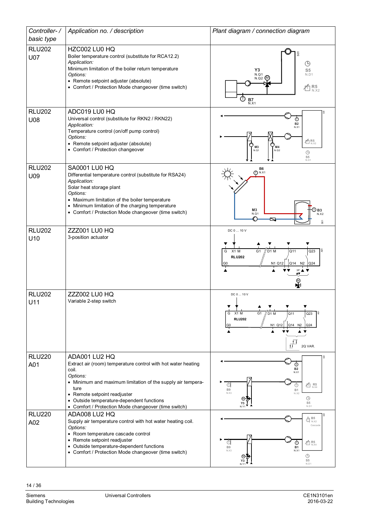| Controller-/                | Application no. / description                                                                                                                                                                                                                                                                                   | Plant diagram / connection diagram                                                                                                                                                   |
|-----------------------------|-----------------------------------------------------------------------------------------------------------------------------------------------------------------------------------------------------------------------------------------------------------------------------------------------------------------|--------------------------------------------------------------------------------------------------------------------------------------------------------------------------------------|
| basic type                  |                                                                                                                                                                                                                                                                                                                 |                                                                                                                                                                                      |
| <b>RLU202</b><br><b>U07</b> | HZC002 LU0 HQ<br>Boiler temperature control (substitute for RCA12.2)<br>Application:<br>Minimum limitation of the boiler return temperature<br>Options:<br>• Remote setpoint adjuster (absolute)<br>• Comfort / Protection Mode changeover (time switch)                                                        | 5<br>⊕<br>Y3<br>S <sub>5</sub><br>N.Q1<br>N.D1<br>N.Q2<br>$R_{N,X2}$<br>⋔<br>$B7$ <sub>N.X1</sub>                                                                                    |
| <b>RLU202</b><br>U08        | ADC019 LU0 HQ<br>Universal control (substitute for RKN2 / RKN22)<br>Application:<br>Temperature control (on/off pump control)<br>Options:<br>• Remote setpoint adjuster (absolute)<br>• Comfort / Protection changeover                                                                                         | ⊕<br><b>B2</b><br>N.X1<br>$4 \overline{1}$ R <sub>5</sub><br>C<br>M <sub>3</sub><br>M <sub>4</sub><br>N.Q1<br>N.Q2<br>$\circledcirc$<br>S5<br>N.D1                                   |
| <b>RLU202</b><br>U09        | <b>SA0001 LU0 HQ</b><br>Differential temperature control (substitute for RSA24)<br>Application:<br>Solar heat storage plant<br>Options:<br>• Maximum limitation of the boiler temperature<br>• Minimum limitation of the charging temperature<br>• Comfort / Protection Mode changeover (time switch)           | <b>B6</b><br>(T) N.X1<br>M3<br>D вз<br>N.X2<br>N.Q1<br>Ŋ<br>S01                                                                                                                      |
| <b>RLU202</b><br>U10        | ZZZ001 LU0 HQ<br>3-position actuator                                                                                                                                                                                                                                                                            | DC 0  10 V<br>Į<br>G <sub>1</sub><br>// D1 M<br>Q11<br>Q23<br>X1 M<br>G<br><b>RLU202</b><br>$Q14$ N <sub>2</sub> $Q24$<br>N1 Q12<br>G <sub>0</sub><br>$\sum_{i=1}^{\infty}$          |
| <b>RLU202</b><br>U11        | <b>ZZZ002 LU0 HQ</b><br>Variable 2-step switch                                                                                                                                                                                                                                                                  | DC 0  10 V<br>G <sub>1</sub><br>X1 M<br>lই<br>G<br>Q11<br>Q23<br>D <sub>1</sub> M<br><b>RLU202</b><br>N1 Q12<br>Q14 N2<br> Q24<br>G0<br>$\vec{\mathbf{n}}^{\square}$<br>2Q VAR.      |
| <b>RLU220</b><br>A01        | ADA001 LU2 HQ<br>Extract air (room) temperature control with hot water heating<br>coil.<br>Options:<br>• Minimum and maximum limitation of the supply air tempera-<br>ture<br>• Remote setpoint readjuster<br>• Outside temperature-dependent functions<br>• Comfort / Protection Mode changeover (time switch) | ⊕<br><b>B2</b><br>N.X1<br>$\times$ R <sub>N.X4</sub><br>⊕<br>⊕<br><b>B9</b><br><b>B1</b><br>N.X3<br>N X2<br>$\bigcirc$<br>S <sub>5</sub><br>N.D1                                     |
| <b>RLU220</b><br>A02        | ADA008 LU2 HQ<br>Supply air temperature control with hot water heating coil.<br>Options:<br>• Room temperature cascade control<br>• Remote setpoint readjuster<br>• Outside temperature-dependent functions<br>• Comfort / Protection Mode changeover (time switch)                                             | $\bigoplus_{N.X2} \mathsf{B5}$<br>Cascade<br>$\chi^2_{\overline{1}}$ R5<br>⊕<br>$^\copyright$<br>B <sub>9</sub><br><b>B1</b><br>N.X3<br>N.X1<br>$\bigcirc$<br>S <sub>5</sub><br>N.D1 |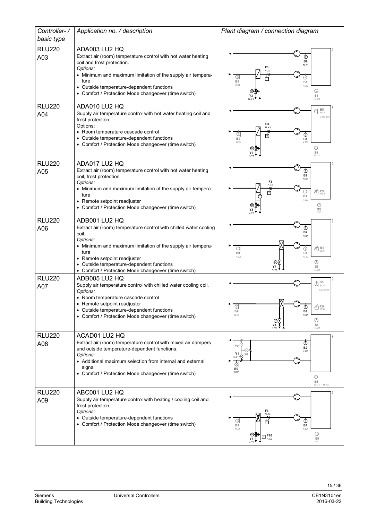| Controller-/         | Application no. / description                                                                                                                                                                                                                                                                                       | Plant diagram / connection diagram                                                                                                                                                                                                                                                                                                                                                                                                                                                                                                                                                                                                          |
|----------------------|---------------------------------------------------------------------------------------------------------------------------------------------------------------------------------------------------------------------------------------------------------------------------------------------------------------------|---------------------------------------------------------------------------------------------------------------------------------------------------------------------------------------------------------------------------------------------------------------------------------------------------------------------------------------------------------------------------------------------------------------------------------------------------------------------------------------------------------------------------------------------------------------------------------------------------------------------------------------------|
| basic type           |                                                                                                                                                                                                                                                                                                                     |                                                                                                                                                                                                                                                                                                                                                                                                                                                                                                                                                                                                                                             |
| <b>RLU220</b><br>A03 | ADA003 LU2 HQ<br>Extract air (room) temperature control with hot water heating<br>coil and frost protection.<br>Options:<br>• Minimum and maximum limitation of the supply air tempera-<br>ture<br>Outside temperature-dependent functions<br>• Comfort / Protection Mode changeover (time switch)                  | 둟<br>$^\copyright$<br><b>B2</b><br>N X1<br>F3<br>N.X3<br>苫<br>B <sub>9</sub><br><b>B1</b><br>N.X4<br>N.X2<br>$\circledcirc$<br>S5<br>N.D1<br>NY <sup>-</sup>                                                                                                                                                                                                                                                                                                                                                                                                                                                                                |
| <b>RLU220</b><br>A04 | ADA010 LU2 HQ<br>Supply air temperature control with hot water heating coil and<br>frost protection.<br>Options:<br>• Room temperature cascade control<br>• Outside temperature-dependent functions<br>• Comfort / Protection Mode changeover (time switch)                                                         | $\bigoplus_{N,X2}$<br>Cascade<br>F <sub>3</sub><br>N.X3<br>書<br>⊕<br>ত<br><b>B9</b><br><b>B1</b><br>N.X4<br>N.X1<br>$\odot$<br>S <sub>5</sub><br>N <sub>D1</sub>                                                                                                                                                                                                                                                                                                                                                                                                                                                                            |
| <b>RLU220</b><br>A05 | ADA017 LU2 HQ<br>Extract air (room) temperature control with hot water heating<br>coil, frost protection.<br>Options:<br>• Minimum and maximum limitation of the supply air tempera-<br>ture<br>• Remote setpoint readjuster<br>• Comfort / Protection Mode changeover (time switch)                                | ⊕<br><b>B2</b><br>N.X1<br>F <sub>3</sub><br>N.X3<br>$\tt{\bar{\hat\pi}}$ R5<br>T<br><b>B1</b><br>N X <sub>2</sub><br>$\odot$<br>S <sub>5</sub><br>N.D1                                                                                                                                                                                                                                                                                                                                                                                                                                                                                      |
| <b>RLU220</b><br>A06 | ADB001 LU2 HQ<br>Extract air (room) temperature control with chilled water cooling<br>coil.<br>Options:<br>• Minimum and maximum limitation of the supply air tempera-<br>ture<br>• Remote setpoint readjuster<br>• Outside temperature-dependent functions<br>• Comfort / Protection Mode changeover (time switch) | の<br><b>B2</b><br>N.X1<br>$\times$ R <sub>NX4</sub><br>a<br>B <sub>9</sub><br><b>B1</b><br>N X3<br>N X2<br>$\circledcirc$<br>S <sub>5</sub><br>Y4<br>N.D1                                                                                                                                                                                                                                                                                                                                                                                                                                                                                   |
| <b>RLU220</b><br>A07 | ADB005 LU2 HQ<br>Supply air temperature control with chilled water cooling coil.<br>Options:<br>• Room temperature cascade control<br>• Remote setpoint readjuster<br>• Outside temperature-dependent functions<br>• Comfort / Protection Mode changeover (time switch)                                             | B <sub>5</sub><br>$\overline{\mathbb{C}}$ $\overline{\mathbb{C}}$ $\overline{\mathbb{C}}$ $\overline{\mathbb{C}}$ $\overline{\mathbb{C}}$ $\overline{\mathbb{C}}$ $\overline{\mathbb{C}}$ $\overline{\mathbb{C}}$ $\overline{\mathbb{C}}$ $\overline{\mathbb{C}}$ $\overline{\mathbb{C}}$ $\overline{\mathbb{C}}$ $\overline{\mathbb{C}}$ $\overline{\mathbb{C}}$ $\overline{\mathbb{C}}$ $\overline{\mathbb{C}}$ $\overline{\mathbb{C}}$ $\overline{\mathbb{C}}$ $\overline{\$<br>Cascade<br>М<br>¢<br>$\times$ R5<br>N.X4<br>$_{\oplus}$<br>B <sub>1</sub><br><b>B9</b><br>N X1<br>N X3<br>⊕<br>⊛<br>S <sub>5</sub><br>Y4<br>N.Y1<br>N.D1 |
| <b>RLU220</b><br>A08 | ACAD01 LU2 HQ<br>Extract air (room) temperature control with mixed air dampers<br>and outside temperature-dependent functions.<br>Options:<br>• Additional maximum selection from internal and external<br>signal<br>• Comfort / Protection Mode changeover (time switch)                                           | $^\circledR$<br><b>B2</b><br>N.X1<br>Υ1<br>$N.Y1$ $@$<br>d<br>B9<br>N.X3<br>⊕<br>S <sub>5</sub><br>N.D1 N.X2                                                                                                                                                                                                                                                                                                                                                                                                                                                                                                                                |
| <b>RLU220</b><br>A09 | ABC001 LU2 HQ<br>Supply air temperature control with heating / cooling coil and<br>frost protection.<br>Options:<br>• Outside temperature-dependent functions<br>• Comfort / Protection Mode changeover (time switch)                                                                                               | F <sub>3</sub><br>N.X3<br>╬<br>⊡<br>B <sub>9</sub><br><b>B1</b><br>N. X4<br>N.X1<br>$\circledcirc$<br>F16<br>El <sub>N.X2</sub><br>S <sub>5</sub><br>Y5<br>N.D1                                                                                                                                                                                                                                                                                                                                                                                                                                                                             |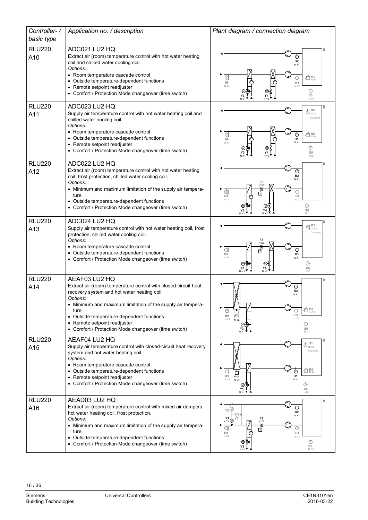| Controller-/<br>basic type | Application no. / description                                                                                                                                                                           | Plant diagram / connection diagram                                                                                                                                                 |
|----------------------------|---------------------------------------------------------------------------------------------------------------------------------------------------------------------------------------------------------|------------------------------------------------------------------------------------------------------------------------------------------------------------------------------------|
|                            |                                                                                                                                                                                                         |                                                                                                                                                                                    |
| <b>RLU220</b><br>A10       | ADC021 LU2 HQ<br>Extract air (room) temperature control with hot water heating<br>coil and chilled water cooling coil.<br>Options:                                                                      | ⊕<br><b>B2</b><br>N.X1                                                                                                                                                             |
|                            | • Room temperature cascade control<br>• Outside temperature-dependent functions<br>• Remote setpoint readjuster<br>• Comfort / Protection Mode changeover (time switch)                                 | $\times$ R5<br>$_{\rm N,X4}$<br>€<br>B <sub>9</sub><br><b>B1</b><br>N X3<br>N.X2<br>$\bigcirc$<br>S5<br>N.D1                                                                       |
| <b>RLU220</b><br>A11       | ADC023 LU2 HQ<br>Supply air temperature control with hot water heating coil and<br>chilled water cooling coil.<br>Options:                                                                              | $\bigoplus_{N\times 2} \mathsf{B5}$<br>Cascade                                                                                                                                     |
|                            | • Room temperature cascade control<br>• Outside temperature-dependent functions<br>• Remote setpoint readjuster<br>• Comfort / Protection Mode changeover (time switch)                                 | đ<br>$\times$ R5<br>$_{\rm N,X4}$<br>⊕<br>B <sub>9</sub><br><b>B1</b><br>N.X1<br>N.X3<br>$\bigcirc$<br>S <sub>5</sub><br>N.D1                                                      |
| <b>RLU220</b><br>A12       | ADC022 LU2 HQ<br>Extract air (room) temperature control with hot water heating<br>coil, frost protection, chilled water cooling coil.<br>Options:                                                       | <b>B2</b><br>N X1<br>F <sub>3</sub>                                                                                                                                                |
|                            | • Minimum and maximum limitation of the supply air tempera-<br>ture<br>• Outside temperature-dependent functions<br>• Comfort / Protection Mode changeover (time switch)                                | N.X3<br>đ<br>帀<br>B <sub>9</sub><br><b>B1</b><br>N.X4<br>N X <sub>2</sub><br>$\circledcirc$<br>S <sub>5</sub><br>Υ4<br>N.D1                                                        |
| <b>RLU220</b><br>A13       | ADC024 LU2 HQ<br>Supply air temperature control with hot water heating coil, frost<br>protection, chilled water cooling coil.<br>Options:                                                               | B <sub>5</sub><br>ℿ<br>N.X2<br>Cascade<br>F3<br>N.X3                                                                                                                               |
|                            | • Room temperature cascade control<br>• Outside temperature-dependent functions<br>• Comfort / Protection Mode changeover (time switch)                                                                 | đ<br>⊕<br>帀<br>B <sub>9</sub><br><b>B1</b><br>N X4<br>N.X1<br>⊕<br>Y4<br>S <sub>5</sub><br>Y3<br>N.Y1<br>N <sub>Y</sub><br>N.D1                                                    |
| <b>RLU220</b><br>A14       | AEAF03 LU2 HQ<br>Extract air (room) temperature control with closed-circuit heat<br>recovery system and hot water heating coil.<br>Options:                                                             | ā<br>⊕<br><b>B2</b><br>N.X1                                                                                                                                                        |
|                            | Minimum and maximum limitation of the supply air tempera-<br>ture<br>• Outside temperature-dependent functions<br>• Remote setpoint readjuster<br>Comfort / Protection Mode changeover (time switch)    | $\times$ R <sub>N.X4</sub><br>Œ<br><b>B1</b><br>B <sub>9</sub><br>Y11<br>N.X2<br>N.X3<br>N.Y2<br>⊕<br>S <sub>5</sub><br>N.D1<br>N.Y                                                |
| <b>RLU220</b><br>A15       | AEAF04 LU2 HQ<br>Supply air temperature control with closed-circuit heat recovery<br>system and hot water heating coil.<br>Options:                                                                     | $\bigoplus_{N,X2} \mathbf{B5}$<br>Cascade                                                                                                                                          |
|                            | • Room temperature cascade control<br>• Outside temperature-dependent functions<br>Remote setpoint readjuster<br>• Comfort / Protection Mode changeover (time switch)                                   | $\overline{\text{m}}$ R5<br>$_{\text{N,X4}}$<br>đ<br>⊕<br><b>B1</b><br>B <sub>9</sub><br>Y11<br>NX3<br>N.X1<br>N.Y2<br>⊕<br>ſм<br>S <sub>5</sub><br>Y <sub>3</sub><br>N.Y1<br>N.D1 |
| <b>RLU220</b><br>A16       | AEAD03 LU2 HQ<br>Extract air (room) temperature control with mixed air dampers,<br>hot water heating coil, frost protection.<br>Options:<br>• Minimum and maximum limitation of the supply air tempera- | $_{\oplus}$<br>Y2<br><b>B2</b><br>N.X1<br>$F3$<br>N.X3<br>Υ1<br>N.Y2<br>背                                                                                                          |
|                            | ture<br>• Outside temperature-dependent functions<br>Comfort / Protection Mode changeover (time switch)                                                                                                 | đ<br>⋔<br>B <sub>9</sub><br><b>B1</b><br>N.X4<br>N.X2<br>$\odot$<br>S <sub>5</sub><br>N.D1                                                                                         |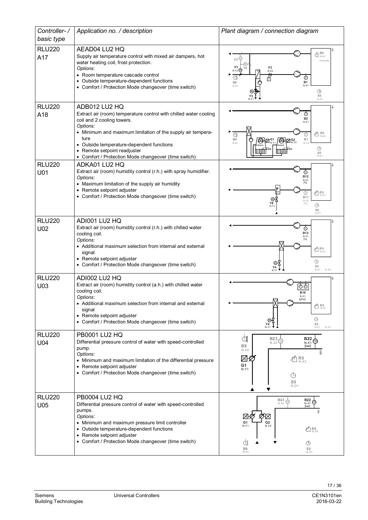| Controller-/         | Application no. / description                                                                                                                                                                                                                                                                                           | Plant diagram / connection diagram                                                                                                                                                                                                                                 |
|----------------------|-------------------------------------------------------------------------------------------------------------------------------------------------------------------------------------------------------------------------------------------------------------------------------------------------------------------------|--------------------------------------------------------------------------------------------------------------------------------------------------------------------------------------------------------------------------------------------------------------------|
| basic type           |                                                                                                                                                                                                                                                                                                                         |                                                                                                                                                                                                                                                                    |
| <b>RLU220</b><br>A17 | AEAD04 LU2 HQ<br>Supply air temperature control with mixed air dampers, hot<br>water heating coil, frost protection.<br>Options:<br>• Room temperature cascade control<br>• Outside temperature-dependent functions<br>• Comfort / Protection Mode changeover (time switch)                                             | $\bigoplus_{N,X2}$<br>Y2<br>Cascade<br>Y1<br>$F_3$<br>N.X3<br>$N.Y2$ <sup><sup><sup>0</sup></sup></sup><br>र्मे<br><b>B1</b><br>B <sub>9</sub><br>N.X1<br>N X4<br>$\odot$<br>S <sub>5</sub><br>N.D1                                                                |
| <b>RLU220</b>        | ADB012 LU2 HQ                                                                                                                                                                                                                                                                                                           |                                                                                                                                                                                                                                                                    |
| A18                  | Extract air (room) temperature control with chilled water cooling<br>coil and 2 cooling towers.<br>Options:<br>• Minimum and maximum limitation of the supply air tempera-<br>ture<br>• Outside temperature-dependent functions<br>• Remote setpoint readjuster<br>• Comfort / Protection Mode changeover (time switch) | <b>B2</b><br>N.X1<br>$40R$ <sub>N.X4</sub><br>đ<br>⊕<br>B <sub>9</sub><br><b>B1</b><br>$\bigcirc$ $\boxtimes_{\scriptscriptstyle\mathrm{N},\scriptscriptstyle\mathrm{Y2}}^{\scriptscriptstyle\mathrm{G2}}$<br>֎\⊠"<br>N.X3<br>N X2<br>$\circledcirc$<br>S5<br>N.D1 |
| <b>RLU220</b>        | ADKA01 LU2 HQ<br>Extract air (room) humidity control (r.h.) with spray humidifier.                                                                                                                                                                                                                                      |                                                                                                                                                                                                                                                                    |
| U01                  | Options:<br>• Maximum limitation of the supply air humidity<br>• Remote setpoint adjuster<br>• Comfort / Protection Mode changeover (time switch)                                                                                                                                                                       | ⊚<br>B12<br>N.X1<br>[%]<br>$\times$ R5<br>N.X3<br>⊙<br><b>B11</b><br>N.X2<br>Y8<br>[%]<br>$\odot$<br>N.Y<br>S <sub>5</sub><br>N.D1                                                                                                                                 |
| <b>RLU220</b>        | ADI001 LU2 HQ<br>Extract air (room) humidity control (r.h.) with chilled water                                                                                                                                                                                                                                          |                                                                                                                                                                                                                                                                    |
| U02                  | cooling coil.<br>Options:<br>• Additional maximum selection from internal and external<br>signal<br>• Remote setpoint adjuster<br>• Comfort / Protection Mode changeover (time switch)                                                                                                                                  | <b>B12</b><br>N.X1<br>$K_{N,X3}$<br>$\odot$<br>S <sub>5</sub><br>Υ4<br>N.X2<br>N.D1<br>N <sub>Y1</sub>                                                                                                                                                             |
| <b>RLU220</b>        | ADI002 LU2 HQ                                                                                                                                                                                                                                                                                                           |                                                                                                                                                                                                                                                                    |
| U03                  | Extract air (room) humidity control (a.h.) with chilled water<br>cooling coil.<br>Options:<br>• Additional maximum selection from internal and external<br>signal<br>• Remote setpoint adjuster<br>• Comfort / Protection Mode changeover (time switch)                                                                 | ⊕⊚<br><b>B18</b><br>N.X1<br>[g/kg]<br>N7<br>$\times$ R <sub>NX3</sub><br>$\circledcirc$<br>⊛<br>S <sub>5</sub><br>Υ4<br>N.Y1 $\blacktriangledown$<br>N.X2<br>N.D1                                                                                                  |
| <b>RLU220</b>        | <b>PB0001 LU2 HQ</b><br>Differential pressure control of water with speed-controlled                                                                                                                                                                                                                                    | þ<br>$B23\overline{\smash{\bigoplus}}$<br><b>B22</b><br>(Ap)                                                                                                                                                                                                       |
| U04                  | pump.<br>Options:<br>• Minimum and maximum limitation of the differential pressure<br>• Remote setpoint adjuster<br>• Comfort / Protection Mode changeover (time switch)                                                                                                                                                | N.X2<br>N.X1<br><b>B9</b><br>[bar]<br>N.X4<br>Šδ<br>$\mathcal{V}_{t_2}$<br>$\overline{\textbf{A}}^{\textbf{R5}}_{\text{\tiny{N,X3}}}$<br>G1<br>N.Y1<br>⊕<br>S <sub>5</sub><br>N.D1                                                                                 |
| <b>RLU220</b><br>U05 | <b>PB0004 LU2 HQ</b><br>Differential pressure control of water with speed-controlled                                                                                                                                                                                                                                    | <b>B23</b><br><b>B22</b><br>O)<br>N.X2<br>N.X1<br>[bar]                                                                                                                                                                                                            |
|                      | pumps.<br>Options:<br>• Minimum and maximum pressure limit controller<br>• Outside temperature-dependent functions<br>• Remote setpoint adjuster<br>• Comfort / Protection Mode changeover (time switch)                                                                                                                | శ్ల<br>8K<br>$V_{12}$<br>G <sub>1</sub><br>G <sub>2</sub><br>N.Y1<br>N.Y2<br>$\overline{\text{A}}$ R <sub>N</sub> <sub>X4</sub><br>đ<br>$\odot$                                                                                                                    |
|                      |                                                                                                                                                                                                                                                                                                                         | <b>B9</b><br>S <sub>5</sub><br>N.X3<br>N.D1                                                                                                                                                                                                                        |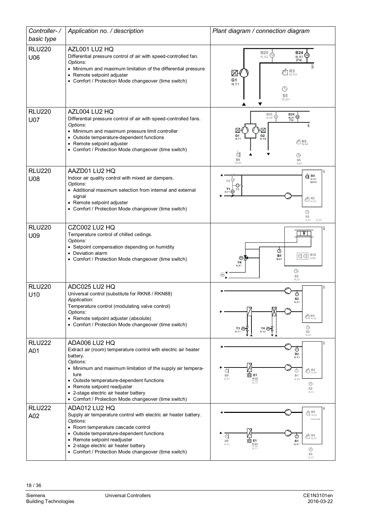| Controller-/                     | Application no. / description                                                                                                                                                                                                                                                                                                                                 | Plant diagram / connection diagram                                                                                                                                                                                           |
|----------------------------------|---------------------------------------------------------------------------------------------------------------------------------------------------------------------------------------------------------------------------------------------------------------------------------------------------------------------------------------------------------------|------------------------------------------------------------------------------------------------------------------------------------------------------------------------------------------------------------------------------|
| basic type                       |                                                                                                                                                                                                                                                                                                                                                               |                                                                                                                                                                                                                              |
| <b>RLU220</b><br>U06             | AZL001 LU2 HQ<br>Differential pressure control of air with speed-controlled fan.<br>Options:<br>• Minimum and maximum limitation of the differential pressure<br>• Remote setpoint adjuster<br>• Comfort / Protection Mode changeover (time switch)                                                                                                           | <b>B25</b><br><b>B24</b><br>N.X2<br>N.X1<br>[Pa]<br>ā<br>$R5$ <sub>N.X3</sub><br>ŕ<br>$\mathcal{V}_1$<br>G <sub>1</sub><br>N.Y1<br>⊕<br>S <sub>5</sub><br>N.D1                                                               |
| <b>RLU220</b><br><b>U07</b>      | AZL004 LU2 HQ<br>Differential pressure control of air with speed-controlled fans.<br>Options:<br>• Minimum and maximum pressure limit controller<br>• Outside temperature-dependent functions<br>• Remote setpoint adjuster<br>• Comfort / Protection Mode changeover (time switch)                                                                           | <b>B25</b><br>$B24$<br>$N, X1$<br>$[Pa]$<br>⊛<br>N.X2<br>G1<br>G <sub>2</sub><br>N Y2<br>N.Y <sup>-</sup><br>$40R_{N,X4}^{5}$<br>đ<br>⊕<br>B <sub>9</sub><br>S <sub>5</sub><br>N.X3<br>N.D1                                  |
| <b>RLU220</b><br>U08             | AAZD01 LU2 HQ<br>Indoor air quality control with mixed air dampers.<br>Options:<br>• Additional maximum selection from internal and external<br>signal<br>• Remote setpoint adjuster<br>• Comfort / Protection Mode changeover (time switch)                                                                                                                  | $\odot$ B4<br>N.X1<br>[ppm]<br>Υ1<br><sub>N Y1</sub> (M)<br>$\times$ R <sub>NX3</sub><br>$\bigcirc$<br>S <sub>5</sub><br>N.X2<br>N.D1                                                                                        |
| <b>RLU220</b><br>U09             | CZC002 LU2 HQ<br>Temperature control of chilled ceilings.<br>Options:<br>• Setpoint compensation depending on humidity<br>• Deviation alarm<br>• Comfort / Protection Mode changeover (time switch)                                                                                                                                                           | V<br>$\Phi$<br>$\boxed{\text{CM}}$ $\underset{\text{n.x2}}{\text{B16}}$<br><b>B1</b><br>∞<br>N.X1<br>Υ4<br>N.Y1<br>$\circledcirc$<br>Θ<br>S <sub>5</sub><br>N.D1                                                             |
| <b>RLU220</b><br>U <sub>10</sub> | ADC025 LU2 HQ<br>Universal control (substitute for RKN8 / RKN88)<br>Application:<br>Temperature control (modulating valve control)<br>Options:<br>• Remote setpoint adjuster (absolute)<br>• Comfort / Protection Mode changeover (time switch)                                                                                                               | ā<br>$^\circledR$<br><b>B2</b><br>$40^{6}$ R5<br>⊕<br>Y4 ®<br>N.Y1<br>N.Y2<br>S <sub>5</sub><br>N.D1                                                                                                                         |
| <b>RLU222</b><br>A01             | ADA006 LU2 HQ<br>Extract air (room) temperature control with electric air heater<br>battery.<br>Options:<br>• Minimum and maximum limitation of the supply air tempera-<br>ture<br>• Outside temperature-dependent functions<br>• Remote setpoint readjuster<br>• 2-stage electric air heater battery<br>• Comfort / Protection Mode changeover (time switch) | $^\copyright$<br><b>B2</b><br>N.X1<br>$\times$ R5<br>đ<br>⊙<br>$\overline{\overline{\mathfrak{m}}}$ E1<br>B <sub>9</sub><br><b>B1</b><br><b>N.Q1</b><br>N.Q2<br>N.Y1<br>N.X3<br>N.X2<br>$\bigcirc$<br>S <sub>5</sub><br>N.D1 |
| <b>RLU222</b><br>A02             | ADA012 LU2 HQ<br>Supply air temperature control with electric air heater battery.<br>Options:<br>• Room temperature cascade control<br>• Outside temperature-dependent functions<br>Remote setpoint readjuster<br>• 2-stage electric air heater battery<br>• Comfort / Protection Mode changeover (time switch)                                               | $\bigoplus_{N.X2}^{L}$<br>Cascade<br>$\times$ R <sub>N.X4</sub><br>đ<br>$\overline{m}$ E1<br><b>B1</b><br>B <sub>9</sub><br><b>N.Q1</b><br>N.Q2<br>N.Y1<br>N.X1<br>N.X3<br>$\bigcirc$<br>S <sub>5</sub><br>N.D               |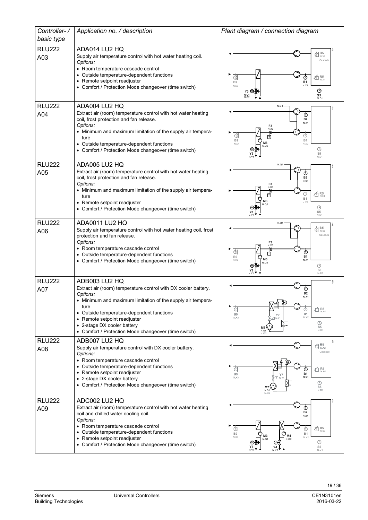| Controller-/<br>basic type | Application no. / description                                                                                                                                                                                                                                                                                                          | Plant diagram / connection diagram                                                                                                                                                                                                      |
|----------------------------|----------------------------------------------------------------------------------------------------------------------------------------------------------------------------------------------------------------------------------------------------------------------------------------------------------------------------------------|-----------------------------------------------------------------------------------------------------------------------------------------------------------------------------------------------------------------------------------------|
| <b>RLU222</b><br>A03       | ADA014 LU2 HQ<br>Supply air temperature control with hot water heating coil.<br>Options:<br>• Room temperature cascade control<br>• Outside temperature-dependent functions<br>• Remote setpoint readjuster<br>• Comfort / Protection Mode changeover (time switch)                                                                    | $\mathbb{d}^{\scriptscriptstyle\mathrm{B5}}_{\scriptscriptstyle\mathrm{N,X2}}$<br>Cascade<br>$\times$ R <sub>NX4</sub><br>đ<br><b>B1</b><br>B <sub>9</sub><br>N.X1<br>N.X3<br>$\circ$<br>S <sub>5</sub><br>N.Q1<br>N.Q2<br>N.D1         |
| <b>RLU222</b><br>A04       | ADA004 LU2 HQ<br>Extract air (room) temperature control with hot water heating<br>coil, frost protection and fan release.<br>Options:<br>• Minimum and maximum limitation of the supply air tempera-<br>ture<br>• Outside temperature-dependent functions<br>• Comfort / Protection Mode changeover (time switch)                      | N.Q1<br>$_{\odot}$<br><b>B2</b><br>N.X1<br>F3<br>N.X3<br>đ<br>⋒<br>帀<br><b>B9</b><br><b>B1</b><br>M3<br>N.X4<br>N.X2<br>N.Q2<br>$\circledcirc$<br>S <sub>5</sub><br>N.D1                                                                |
| <b>RLU222</b><br>A05       | ADA005 LU2 HQ<br>Extract air (room) temperature control with hot water heating<br>coil, frost protection and fan release.<br>Options:<br>• Minimum and maximum limitation of the supply air tempera-<br>ture<br>• Remote setpoint readjuster<br>• Comfort / Protection Mode changeover (time switch)                                   | N.Q1<br>⊙<br><b>B2</b><br>N.X1<br>F3<br>$\tt \vec{\Phi}{}^{\rm R5}_{\textrm{\tiny N} \textrm{\tiny N} \textrm{\tiny A}}$<br>П<br>B <sub>1</sub><br>N X2<br>$\circledcirc$<br>S <sub>5</sub><br>N.D1                                     |
| <b>RLU222</b><br>A06       | ADA0011 LU2 HQ<br>Supply air temperature control with hot water heating coil, frost<br>protection and fan release.<br>Options:<br>• Room temperature cascade control<br>• Outside temperature-dependent functions<br>• Comfort / Protection Mode changeover (time switch)                                                              | N.Q1<br>$\bigoplus_{N.X2}$<br>Cascad<br>F3<br>G<br>⊕<br>π<br><b>B1</b><br>B <sub>9</sub><br>M <sub>3</sub><br>N.X1<br>N.X4<br>$\odot$<br>S <sub>5</sub><br>N.D1                                                                         |
| <b>RLU222</b><br>A07       | ADB003 LU2 HQ<br>Extract air (room) temperature control with DX cooler battery.<br>Options:<br>• Minimum and maximum limitation of the supply air tempera-<br>ture<br>• Outside temperature-dependent functions<br>• Remote setpoint readjuster<br>• 2-stage DX cooler battery<br>• Comfort / Protection Mode changeover (time switch) | B <sub>2</sub><br>N.X1<br>đ<br>ó<br>$R_{N,X4}^{5}$<br>B1<br>B <sub>9</sub><br><b>Y7</b><br>N X2<br>N.X3<br>$\square$ N.Y<br>$\bigcirc$<br>$S_5$ <sub>N.D1</sub><br>M7<br>N.Q1                                                           |
| <b>RLU222</b><br>A08       | ADB007 LU2 HQ<br>Supply air temperature control with DX cooler battery.<br>Options:<br>• Room temperature cascade control<br>• Outside temperature-dependent functions<br>• Remote setpoint readjuster<br>• 2-stage DX cooler battery<br>• Comfort / Protection Mode changeover (time switch)                                          | B <sub>5</sub><br>đ<br>N, X2<br>Cascade<br>$\tt t_{\rm N,X4}^{\rm f}$<br>đ<br><b>B1</b><br>B <sub>9</sub><br>$Y$ 7<br>N.X1<br>N.X3<br>-120 N.Y<br>$\bigcirc$<br>S <sub>0.1</sub> <sup>5</sup><br>M <sub>7</sub><br>N.Q1<br>N.Q2         |
| <b>RLU222</b><br>A09       | ADC002 LU2 HQ<br>Extract air (room) temperature control with hot water heating<br>coil and chilled water cooling coil.<br>Options:<br>• Room temperature cascade control<br>Outside temperature-dependent functions<br>• Remote setpoint readjuster<br>• Comfort / Protection Mode changeover (time switch)                            | Ŕ<br>$_{\oplus}$<br><b>B2</b><br>N.X1<br>$\times$ R <sub>N.X4</sub><br>⊕<br>B <sub>9</sub><br><b>B1</b><br>M <sub>3</sub><br>M <sub>4</sub><br>N.X3<br>N.X2<br>N.Q1<br>N.Q2<br>$\circledcirc$<br>S <sub>5</sub><br>N.D1<br>N.Y1<br>N.Y2 |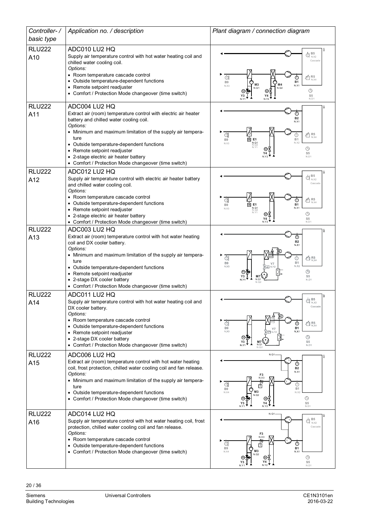| Controller-/         | Application no. / description                                                                                                                                                                                                                                                                                                                                                                | Plant diagram / connection diagram                                                                                                                                                                                       |
|----------------------|----------------------------------------------------------------------------------------------------------------------------------------------------------------------------------------------------------------------------------------------------------------------------------------------------------------------------------------------------------------------------------------------|--------------------------------------------------------------------------------------------------------------------------------------------------------------------------------------------------------------------------|
| basic type           |                                                                                                                                                                                                                                                                                                                                                                                              |                                                                                                                                                                                                                          |
| <b>RLU222</b><br>A10 | ADC010 LU2 HQ<br>Supply air temperature control with hot water heating coil and<br>chilled water cooling coil.<br>Options:<br>• Room temperature cascade control<br>• Outside temperature-dependent functions<br>• Remote setpoint readjuster<br>• Comfort / Protection Mode changeover (time switch)                                                                                        | $\bigoplus_{N\times 2} \mathbf{B5}$<br>Cascade<br>$40R_{N,X4}$<br>$\odot$<br>⊙<br><b>B1</b><br>B <sub>9</sub><br>M <sub>3</sub><br>M4<br>N.X1<br>N.X3<br>N.Q1<br>N.Q2<br>$\bigcirc$<br>$\mathbb{S}5$<br>N.D1             |
| <b>RLU222</b><br>A11 | ADC004 LU2 HQ<br>Extract air (room) temperature control with electric air heater<br>battery and chilled water cooling coil.<br>Options:<br>• Minimum and maximum limitation of the supply air tempera-<br>ture<br>• Outside temperature-dependent functions<br>• Remote setpoint readjuster<br>• 2-stage electric air heater battery<br>• Comfort / Protection Mode changeover (time switch) | ⊕<br><b>B2</b><br>N.X1<br>d<br>$\times$ R <sub>N.X4</sub><br>⊙<br>$\overline{m}$ E1<br><b>B1</b><br>B <sub>9</sub><br>N.Q1<br>N.Q2<br>N.Y1<br>N.X2<br>N.X3<br>$\bigcirc$<br>S <sub>5</sub><br>N <sub>D1</sub>            |
| <b>RLU222</b><br>A12 | ADC012 LU2 HQ<br>Supply air temperature control with electric air heater battery<br>and chilled water cooling coil.<br>Options:<br>• Room temperature cascade control<br>• Outside temperature-dependent functions<br>• Remote setpoint readjuster<br>• 2-stage electric air heater battery<br>• Comfort / Protection Mode changeover (time switch)                                          | $\bigoplus_{N,X2}$<br>Cascade<br>$\times$ R <sub>N.X4</sub><br>đ<br>⊕<br>両<br>E <sub>1</sub><br><b>B1</b><br>B <sub>9</sub><br><b>N.Q1</b><br>N.Q2<br>N.V1<br>N.X1<br>N X3<br>$\bigcirc$<br>S <sub>5</sub><br>Y4<br>N.D1 |
| <b>RLU222</b><br>A13 | ADC003 LU2 HQ<br>Extract air (room) temperature control with hot water heating<br>coil and DX cooler battery.<br>Options:<br>• Minimum and maximum limitation of the supply air tempera-<br>ture<br>• Outside temperature-dependent functions<br>• Remote setpoint readjuster<br>• 2-stage DX cooler battery<br>• Comfort / Protection Mode changeover (time switch)                         | <b>B2</b><br>N.X1<br>đ<br>$\tt t^4$ R5<br>C<br><b>B1</b><br><b>B9</b><br>N.X2<br>N.X3<br>⊕<br>S <sub>5</sub><br>N.Q<br>N.D1                                                                                              |
| <b>RLU222</b><br>A14 | ADC011 LU2 HQ<br>Supply air temperature control with hot water heating coil and<br>DX cooler battery.<br>Options:<br>• Room temperature cascade control<br>• Outside temperature-dependent functions<br>• Remote setpoint readjuster<br>• 2-stage DX cooler battery<br>• Comfort / Protection Mode changeover (time switch)                                                                  | $\bigoplus_{\sim} \frac{\mathsf{B5}}{\mathsf{A}}$<br>Cascade<br>व<br>$40R_{N,X4}$<br>B1<br>B9<br>$Y$ 7<br>N.X3<br>N.X <sup>*</sup><br>-17<br>$\circledcirc$<br>S <sub>5</sub><br>Y3<br><b>M7</b><br>N.Q1<br>N.D1<br>N.02 |
| <b>RLU222</b><br>A15 | ADC006 LU2 HQ<br>Extract air (room) temperature control with hot water heating<br>coil, frost protection, chilled water cooling coil and fan release.<br>Options:<br>• Minimum and maximum limitation of the supply air tempera-<br>ture<br>• Outside temperature-dependent functions<br>• Comfort / Protection Mode changeover (time switch)                                                | N.Q1<br>$_{\odot}$<br><b>B2</b><br>N.X1<br>N.X3<br>đ<br>$\bigcirc$<br>门<br><b>B1</b><br>B <sub>9</sub><br>M3<br>N.X4<br>N.X2<br>N.Q2<br>$\circledcirc$<br>S <sub>5</sub><br>Y4<br>N.D1<br>N.Y2                           |
| <b>RLU222</b><br>A16 | ADC014 LU2 HQ<br>Supply air temperature control with hot water heating coil, frost<br>protection, chilled water cooling coil and fan release.<br>Options:<br>• Room temperature cascade control<br>• Outside temperature-dependent functions<br>• Comfort / Protection Mode changeover (time switch)                                                                                         | N. Q1<br>$\bigoplus_{N. X2}^{B5}$<br>Cascade<br>N.X3<br>$^\copyright$<br>d<br>π<br><b>B1</b><br>B <sub>9</sub><br>M <sub>3</sub><br>N.X4<br>N.X1<br>N.Q2<br>$\odot$<br>⋓<br>S <sub>5</sub><br>N.D1                       |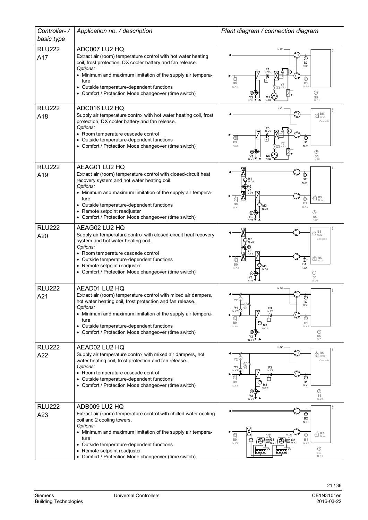| Controller-/         | Application no. / description                                                                                                                                                                                                                                                                                                      | Plant diagram / connection diagram                                                                                                                                                                                                                                                        |
|----------------------|------------------------------------------------------------------------------------------------------------------------------------------------------------------------------------------------------------------------------------------------------------------------------------------------------------------------------------|-------------------------------------------------------------------------------------------------------------------------------------------------------------------------------------------------------------------------------------------------------------------------------------------|
| basic type           |                                                                                                                                                                                                                                                                                                                                    |                                                                                                                                                                                                                                                                                           |
| <b>RLU222</b><br>A17 | ADC007 LU2 HQ<br>Extract air (room) temperature control with hot water heating<br>coil, frost protection, DX cooler battery and fan release.<br>Options:<br>• Minimum and maximum limitation of the supply air tempera-<br>ture<br>Outside temperature-dependent functions<br>• Comfort / Protection Mode changeover (time switch) | $N.Q1-$<br><b>B2</b><br>N.X <sup>-</sup><br>đ<br>B1<br>B <sub>9</sub><br>N.X4<br>⊕<br>S <sub>5</sub><br>N.Q2<br>N Y<br>N <sub>D1</sub>                                                                                                                                                    |
| <b>RLU222</b>        | ADC016 LU2 HQ                                                                                                                                                                                                                                                                                                                      | N.Q1                                                                                                                                                                                                                                                                                      |
| A18                  | Supply air temperature control with hot water heating coil, frost<br>protection, DX cooler battery and fan release.<br>Options:<br>• Room temperature cascade control<br>• Outside temperature-dependent functions<br>• Comfort / Protection Mode changeover (time switch)                                                         | $\bigoplus_{N.X2}$<br>Cascade<br>G<br>⊕<br><b>B1</b><br>B <sub>9</sub><br>N.X<br>N X4<br>$\bigcirc$<br>S <sub>5</sub><br>N.D1                                                                                                                                                             |
| <b>RLU222</b>        | AEAG01 LU2 HQ<br>Extract air (room) temperature control with closed-circuit heat                                                                                                                                                                                                                                                   |                                                                                                                                                                                                                                                                                           |
| A19                  | recovery system and hot water heating coil.<br>Options:<br>• Minimum and maximum limitation of the supply air tempera-<br>ture<br>• Outside temperature-dependent functions<br>• Remote setpoint readjuster<br>• Comfort / Protection Mode changeover (time switch)                                                                | ⊕<br><b>B2</b><br>N X1<br>$\overline{\text{m}}$ R5<br>$_{\text{N,X4}}$<br><b>B1</b><br><b>B9</b><br>N.X2<br>N.X3<br>Φ<br>S <sub>5</sub><br>N <sub>D1</sub>                                                                                                                                |
| <b>RLU222</b>        | AEAG02 LU2 HQ                                                                                                                                                                                                                                                                                                                      | B <sub>5</sub><br>$\bigoplus_{N \times 2}^{\mathbf{D}_{\infty}}$                                                                                                                                                                                                                          |
| A20                  | Supply air temperature control with closed-circuit heat recovery<br>system and hot water heating coil.<br>Options:<br>• Room temperature cascade control<br>• Outside temperature-dependent functions<br>Remote setpoint readjuster<br>• Comfort / Protection Mode changeover (time switch)                                        | Cascade<br>$\tt{\vec{\hat{\Sigma}}}\phantom{0}\mathsf{R5}_{\text{N,X4}}$<br>⊕<br>⊕<br>B <sub>1</sub><br><b>B9</b><br>N X3<br>N X1<br>⊕<br>S5                                                                                                                                              |
| <b>RLU222</b>        | AEAD01 LU2 HQ                                                                                                                                                                                                                                                                                                                      | N.Q1                                                                                                                                                                                                                                                                                      |
| A21                  | Extract air (room) temperature control with mixed air dampers,<br>hot water heating coil, frost protection and fan release.<br>Options:<br>• Minimum and maximum limitation of the supply air tempera-<br>ture<br>• Outside temperature-dependent functions<br>Comfort / Protection Mode changeover (time switch)                  | $^\copyright$<br>$_{Y2}$ $\circledcirc$<br><b>B2</b><br>(M)<br>N.X1<br>Y1<br>Y6<br>$F_{{N,X3}}^3$<br>$N.Y2$ <sup><sup>(1)</sup></sup><br>a<br>⊕<br>庁<br>B <sub>9</sub><br>B1<br>M <sub>3</sub><br>N.X4<br>N.X2<br>N.Q2<br>$\odot$<br>$\overline{\text{S5}}$ <sub>N.D1</sub><br>Y3<br>N.Y1 |
| <b>RLU222</b>        | AEAD02 LU2 HQ                                                                                                                                                                                                                                                                                                                      | N.Q1                                                                                                                                                                                                                                                                                      |
| A22                  | Supply air temperature control with mixed air dampers, hot<br>water heating coil, frost protection and fan release.<br>Options:<br>• Room temperature cascade control<br>• Outside temperature-dependent functions<br>• Comfort / Protection Mode changeover (time switch)                                                         | $\bigoplus_{N,X2}$<br>Y2<br>Cascade<br>Y1<br>F3<br>N.Y2 <sup>(M)</sup><br>N.X3<br>$^\copyright$<br>d<br>由<br><b>B1</b><br>B <sub>9</sub><br>M <sub>3</sub><br>N.X1<br>N.X4<br>$\odot$<br>S <sub>5</sub><br>N.D1<br>N.Y                                                                    |
| <b>RLU222</b>        | ADB009 LU2 HQ                                                                                                                                                                                                                                                                                                                      |                                                                                                                                                                                                                                                                                           |
| A23                  | Extract air (room) temperature control with chilled water cooling<br>coil and 2 cooling towers.<br>Options:<br>• Minimum and maximum limitation of the supply air tempera-<br>ture<br>• Outside temperature-dependent functions<br>Remote setpoint readjuster                                                                      | ⊙<br><b>B2</b><br>N.X1<br>$\times$ R <sub>N.X4</sub><br>ðl<br>N.Q1<br>$^\circledR$<br>N.Q2<br>B <sub>9</sub><br>$^{\circledR}$<br>B1<br>@\z:<br>E G2<br>N.X3<br>N.X2<br>$\circledcirc$<br>S <sub>5</sub>                                                                                  |
|                      | • Comfort / Protection Mode changeover (time switch)                                                                                                                                                                                                                                                                               | N.D1                                                                                                                                                                                                                                                                                      |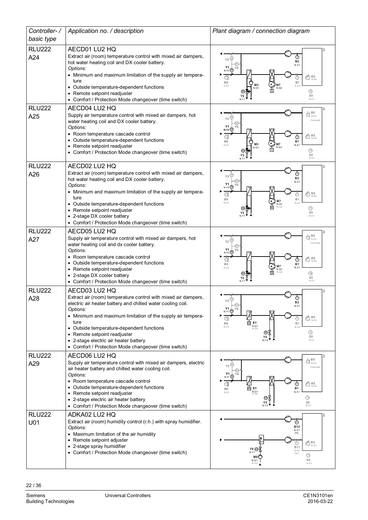| Controller-/         | Application no. / description                                                                                                                                                                                                                                                                                                                                                                                   | Plant diagram / connection diagram                                                                                                                                                                                                                                                     |
|----------------------|-----------------------------------------------------------------------------------------------------------------------------------------------------------------------------------------------------------------------------------------------------------------------------------------------------------------------------------------------------------------------------------------------------------------|----------------------------------------------------------------------------------------------------------------------------------------------------------------------------------------------------------------------------------------------------------------------------------------|
| basic type           |                                                                                                                                                                                                                                                                                                                                                                                                                 |                                                                                                                                                                                                                                                                                        |
| <b>RLU222</b><br>A24 | AECD01 LU2 HQ<br>Extract air (room) temperature control with mixed air dampers,<br>hot water heating coil and DX cooler battery.<br>Options:<br>• Minimum and maximum limitation of the supply air tempera-<br>ture<br>• Outside temperature-dependent functions<br>• Remote setpoint readjuster<br>• Comfort / Protection Mode changeover (time switch)                                                        | $_{\tiny\textregistered}$<br>Y2<br><b>B2</b><br>N.X1<br>Y1<br>$N.Y2$ $@$<br>$\tfrac{\pi}{10}$ R5<br>ଗ<br>B <sub>9</sub><br>B1<br>M <sub>3</sub><br>N.X3<br>N X5<br>N.Q1<br>N.Q2<br>$\circledcirc$<br>S5<br>N.D1                                                                        |
| <b>RLU222</b><br>A25 | AECD04 LU2 HQ<br>Supply air temperature control with mixed air dampers, hot<br>water heating coil and DX cooler battery.<br>Options:<br>• Room temperature cascade control<br>• Outside temperature-dependent functions<br>• Remote setpoint readjuster<br>• Comfort / Protection Mode changeover (time switch)                                                                                                 | B <sub>5</sub><br>$\bigoplus_{N \times 2}^{\mathbf{D} \cdot \mathbf{C}}$<br>Y <sub>2</sub><br>Cascade<br>Υ1<br><b>N.Y2</b> @<br>$\overline{\text{m}}$ R5<br>⊕<br><b>B1</b><br>B <sub>9</sub><br>M <sub>3</sub><br>N.X3<br>N.X1<br>N.Q2<br>N.Q1<br>$\bigodot$<br>S <sub>5</sub><br>N.D1 |
| <b>RLU222</b><br>A26 | AECD02 LU2 HQ<br>Extract air (room) temperature control with mixed air dampers,<br>hot water heating coil and DX cooler battery.<br>Options:<br>• Minimum and maximum limitation of the supply air tempera-<br>ture<br>• Outside temperature-dependent functions<br>• Remote setpoint readjuster<br>• 2-stage DX cooler battery<br>• Comfort / Protection Mode changeover (time switch)                         | Y2<br><b>B2</b><br>N.X1<br>Y1<br>Y6<br>$N.Y2$ $@$<br>d<br>$\tt{\vec{\hat{\pi}}}\phantom{1}\mathsf{R5}_{\mathsf{N} \mathsf{X} 4}$<br>B <sub>9</sub><br>B1<br>N.X3<br>N.X2<br>N.Q1<br>⊕<br>S5<br>N <sub>D1</sub>                                                                         |
| <b>RLU222</b><br>A27 | AECD05 LU2 HQ<br>Supply air temperature control with mixed air dampers, hot<br>water heating coil and dx cooler battery.<br>Options:<br>• Room temperature cascade control<br>• Outside temperature-dependent functions<br>• Remote setpoint readjuster<br>• 2-stage DX cooler battery<br>• Comfort / Protection Mode changeover (time switch)                                                                  | B <sub>5</sub><br>đ<br>N.X2<br>Y2<br>Cascade<br>Υ1<br>Y6<br>N.Y2 <sup>(M)</sup><br>$4\overline{\text{dB}}_{\text{n,X4}}^{\text{R5}}$<br>℗<br><b>B1</b><br><b>B9</b><br>N X1<br>N.X3<br>N.Q1<br>$\circledcirc$<br>S <sub>5</sub><br>N <sub>D1</sub>                                     |
| <b>RLU222</b><br>A28 | AECD03 LU2 HQ<br>Extract air (room) temperature control with mixed air dampers,<br>electric air heater battery and chilled water cooling coil.<br>Options:<br>• Minimum and maximum limitation of the supply air tempera-<br>ture<br>• Outside temperature-dependent functions<br>• Remote setpoint readjuster<br>• 2-stage electric air heater battery<br>• Comfort / Protection Mode changeover (time switch) | ⊕<br>$Y2 \overset{\text{(n)}}{=}$<br>N.X1<br>Y1<br><b>Y6</b><br>N.Y1 <sup>(M)</sup><br>$4\overline{\text{dB}}_{\text{n} \text{X}4}^{\text{R5}}$<br>₫<br>$\overline{\mathbb{E}}$ E1<br>B <sub>9</sub><br>B1<br>N.Q1<br>N.Q2<br>N.X3<br>N.X2<br>$\odot$<br>S5<br>N.D1                    |
| <b>RLU222</b><br>A29 | AECD06 LU2 HQ<br>Supply air temperature control with mixed air dampers, electric<br>air heater battery and chilled water cooling coil.<br>Options:<br>• Room temperature cascade control<br>• Outside temperature-dependent functions<br>• Remote setpoint readjuster<br>• 2-stage electric air heater battery<br>• Comfort / Protection Mode changeover (time switch)                                          | $\bigoplus_{N\times 2} \mathsf{B5}$<br>N.X2<br>Y <sub>2</sub><br>Cascade<br>Y1<br>N.Y1<br>$\times$ R5<br>$_{N,X4}$<br>⊕<br>Œ.<br>$\overline{\mathbf{m}}$ <b>E1</b><br>$N. Q1$<br><b>B1</b><br>B <sub>9</sub><br>N.X1<br>N.X3<br>$\bigcirc$<br>S <sub>5</sub><br>N.D1                   |
| <b>RLU222</b><br>U01 | ADKA02 LU2 HQ<br>Extract air (room) humidity control (r.h.) with spray humidifier.<br>Options:<br>• Maximum limitation of the air humidity<br>• Remote setpoint adjuster<br>• 2-stage spray humidifier<br>• Comfort / Protection Mode changeover (time switch)                                                                                                                                                  | ⊚<br><b>B12</b><br>N.X1<br>[%]<br>$40R_{N,X3}$<br>⊙<br><b>B11</b><br>Y8 (M<br>N.X2<br>$[%]$<br>$\circledcirc$<br>S <sub>5</sub><br>N.Q<br>N.D1                                                                                                                                         |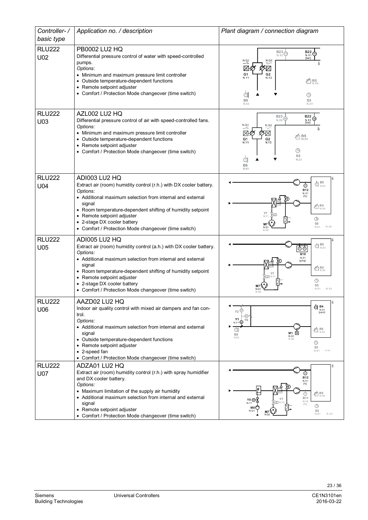| Controller-/<br>basic type  | Application no. / description                                                                                                                                                                                                                                                                                                                             | Plant diagram / connection diagram                                                                                                                                                                                   |
|-----------------------------|-----------------------------------------------------------------------------------------------------------------------------------------------------------------------------------------------------------------------------------------------------------------------------------------------------------------------------------------------------------|----------------------------------------------------------------------------------------------------------------------------------------------------------------------------------------------------------------------|
| <b>RLU222</b><br>U02        | PB0002 LU2 HQ<br>Differential pressure control of water with speed-controlled<br>pumps.<br>Options:<br>• Minimum and maximum pressure limit controller<br>• Outside temperature-dependent functions<br>• Remote setpoint adjuster<br>• Comfort / Protection Mode changeover (time switch)                                                                 | $B23\frac{1}{2}$<br><b>B22</b><br>N.X1<br>N X2<br>[bar]<br>N.Q2<br>N.91<br>$\frac{f}{f_2}$<br>G1<br>G2<br>N.Y1<br>N.Y2<br>$\times$ R5<br>⊕<br>⊕<br>B <sub>9</sub><br>S5<br>N.X3<br>N.D1                              |
| <b>RLU222</b><br>U03        | AZL002 LU2 HQ<br>Differential pressure control of air with speed-controlled fans.<br>Options:<br>• Minimum and maximum pressure limit controller<br>• Outside temperature-dependent functions<br>• Remote setpoint adjuster<br>• Comfort / Protection Mode changeover (time switch)                                                                       | $B23 \n\oplus$<br><b>B22</b><br>N.X1<br>[bar]<br>N.Q1<br>N.Q2<br>$V_{2}$<br>$\mathscr{V}_n$<br>$40R_{N,X4}^5$<br>G1<br>G2<br>N.Y1<br><b>N.Y2</b><br>⊕<br>S <sub>5</sub><br>⋒<br>N, D1<br>B <sub>9</sub><br>N.X3      |
| <b>RLU222</b><br>U04        | ADI003 LU2 HQ<br>Extract air (room) humidity control (r.h.) with DX cooler battery.<br>Options:<br>• Additional maximum selection from internal and external<br>signal<br>• Room temperature-dependent shifting of humidity setpoint<br>• Remote setpoint adjuster<br>• 2-stage DX cooler battery<br>• Comfort / Protection Mode changeover (time switch) | $\bigoplus_{N,X3}$<br>⊚<br><b>B12</b><br>N.X1<br>$\times$ R5<br>NX4<br>Y7<br>N.Y1<br>$\bigodot$<br>S <sub>5</sub><br>M7<br>N.X2<br>N.Q<br>N.D1<br>N.02                                                               |
| <b>RLU222</b><br>U05        | ADI005 LU2 HQ<br>Extract air (room) humidity control (a.h.) with DX cooler battery.<br>Options:<br>• Additional maximum selection from internal and external<br>signal<br>• Room temperature-dependent shifting of humidity setpoint<br>• Remote setpoint adjuster<br>2-stage DX cooler battery<br>• Comfort / Protection Mode changeover (time switch)   | $\bigoplus_{N,X3}^{B5}$<br>⊙⊙<br><b>B18</b><br>N.X1<br>[g/kg]<br>$\times$ R5<br>N.X4<br>$\bigcirc$<br>S <sub>5</sub><br>N.D1<br>N.X2<br>N.Q1                                                                         |
| <b>RLU222</b><br>U06        | AAZD02 LU2 HQ<br>Indoor air quality control with mixed air dampers and fan con-<br>trol.<br>Options:<br>• Additional maximum selection from internal and external<br>signal<br>• Outside temperature-dependent functions<br>• Remote setpoint adjuster<br>• 2-speed fan<br>• Comfort / Protection Mode changeover (time switch)                           | @ B4<br>N.X1<br>Y2<br>[ppm]<br>Y1<br>Y6<br>$N.Y1$ <sup>(1)</sup><br>$\times$ R <sub>N.X4</sub><br>C<br>$M1$ $\overline{u}$<br>B <sub>9</sub><br>N.Q1<br>N.X3<br>N.02<br>$\bigodot$<br>S <sub>5</sub><br>N.X2<br>N.D1 |
| <b>RLU222</b><br><b>U07</b> | ADZA01 LU2 HQ<br>Extract air (room) humidity control (r.h.) with spray humidifier<br>and DX cooler battery.<br>Options:<br>• Maximum limitation of the supply air humidity<br>• Additional maximum selection from internal and external<br>signal<br>• Remote setpoint adjuster<br>• Comfort / Protection Mode changeover (time switch)                   | <b>B12</b><br>N.X1<br>[%]<br>$\tt{\vec{\text{m}}}$ R5<br>⊚<br><b>B11</b><br>Y8 @<br>N.X2<br>N.Y <sup>-</sup><br>[%]<br>M8<br>S <sub>5</sub><br>N.Q1<br>M7<br>N.X3<br>N.D1<br>N.Q2                                    |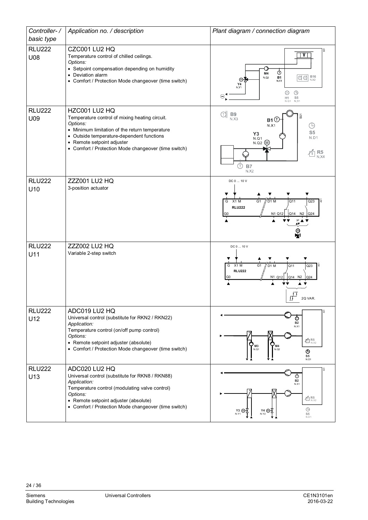| Controller-/         | Application no. / description                                                                                                                                                                                                                                    | Plant diagram / connection diagram                                                                                                                                                                                   |
|----------------------|------------------------------------------------------------------------------------------------------------------------------------------------------------------------------------------------------------------------------------------------------------------|----------------------------------------------------------------------------------------------------------------------------------------------------------------------------------------------------------------------|
| basic type           |                                                                                                                                                                                                                                                                  |                                                                                                                                                                                                                      |
| <b>RLU222</b><br>U08 | CZC001 LU2 HQ<br>Temperature control of chilled ceilings.<br>Options:<br>• Setpoint compensation depending on humidity<br>• Deviation alarm<br>• Comfort / Protection Mode changeover (time switch)                                                              | 5<br>V<br>Ó<br>M4<br>$\boxed{\text{d}}$ $\boxed{\text{m}}$ $\frac{\text{B16}}{\text{N} \times 2}$<br><b>B1</b><br>N.Q2<br>N.X1<br>Y4<br>N.Y1<br>$\bigcirc$<br>⊗<br>$\Theta$<br>S <sub>5</sub><br>H1<br>N.D1<br>N.Q1  |
| <b>RLU222</b><br>U09 | HZC001 LU2 HQ<br>Temperature control of mixing heating circuit.<br>Options:<br>• Minimum limitation of the return temperature<br>• Outside temperature-dependent functions<br>• Remote setpoint adjuster<br>• Comfort / Protection Mode changeover (time switch) | (T)<br>$B9$<br>N.X3<br>$\overline{5}$<br>$B1$ <sup><math>\overline{C}</math></sup><br>⊕<br>N X1<br>S <sub>5</sub><br>Y <sub>3</sub><br>N.D1<br>N.Q1<br>N.Q2<br>(M)<br>$R5$ <sub>N.X4</sub><br>Æ<br><b>B7</b><br>N.X2 |
| <b>RLU222</b><br>U10 | <b>ZZZ001 LU2 HQ</b><br>3-position actuator                                                                                                                                                                                                                      | DC 0  10 V<br>X1 M<br>G <sub>1</sub><br>$\sqrt{$ D1 M<br>Q11<br>Q23<br>G<br>ġ<br><b>RLU222</b><br>N1 Q12<br>$Q14$ N <sub>2</sub> $Q24$<br>G <sub>0</sub><br>AV<br>ℝ                                                  |
| <b>RLU222</b><br>U11 | <b>ZZZ002 LU2 HQ</b><br>Variable 2-step switch                                                                                                                                                                                                                   | DC 0  10 V<br>$X1$ M<br>G <sub>1</sub><br>Q11<br>G<br>$\frac{1}{\sqrt{}}$ D1 M<br>Q23<br><b>RLU222</b><br>N1 Q12<br>Q14 N2<br>Q24<br>$\frac{1}{11}$<br>2Q VAR.                                                       |
| <b>RLU222</b><br>U12 | ADC019 LU2 HQ<br>Universal control (substitute for RKN2 / RKN22)<br>Application:<br>Temperature control (on/off pump control)<br>Options:<br>• Remote setpoint adjuster (absolute)<br>• Comfort / Protection Mode changeover (time switch)                       | <b>B2</b><br>N.X1<br>$40R_{N,X2}$<br>¢<br>M <sub>3</sub><br>M4<br>N.Q1<br>N.Q2<br>$\odot$<br>S <sub>5</sub><br>N.D1                                                                                                  |
| <b>RLU222</b><br>U13 | ADC020 LU2 HQ<br>Universal control (substitute for RKN8 / RKN88)<br>Application:<br>Temperature control (modulating valve control)<br>Options:<br>• Remote setpoint adjuster (absolute)<br>• Comfort / Protection Mode changeover (time switch)                  | ទ្ល<br>$^\circledR$<br><b>B2</b><br>N.X1<br>$40R_{N,X2}$<br>$\bigcirc$<br>$Y3$ (M)<br>Y4 M<br>S <sub>5</sub><br>N.Y2<br>N.D1                                                                                         |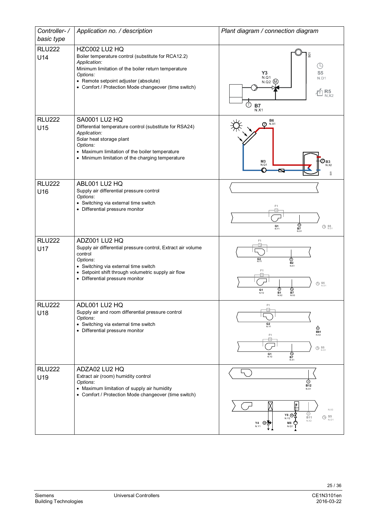| Controller-/         | Application no. / description                                                                                                                                                                                                                            | Plant diagram / connection diagram                                                                                                                                                             |
|----------------------|----------------------------------------------------------------------------------------------------------------------------------------------------------------------------------------------------------------------------------------------------------|------------------------------------------------------------------------------------------------------------------------------------------------------------------------------------------------|
| basic type           |                                                                                                                                                                                                                                                          |                                                                                                                                                                                                |
| <b>RLU222</b><br>U14 | HZC002 LU2 HQ<br>Boiler temperature control (substitute for RCA12.2)<br>Application:<br>Minimum limitation of the boiler return temperature<br>Options:<br>• Remote setpoint adjuster (absolute)<br>• Comfort / Protection Mode changeover (time switch) | 501<br>⊕<br>Y3<br>S <sub>5</sub><br>N.Q1<br>N.D1<br>N.Q2 (M)<br>$R_{N,X2}^5$<br>Τ)<br><b>B7</b><br>N.X1                                                                                        |
| <b>RLU222</b><br>U15 | <b>SA0001 LU2 HQ</b><br>Differential temperature control (substitute for RSA24)<br>Application:<br>Solar heat storage plant<br>Options:<br>• Maximum limitation of the boiler temperature<br>• Minimum limitation of the charging temperature            | B6<br>N.X1<br>⋔<br>M3<br><b>B3</b><br>N.X2<br>N.Q1                                                                                                                                             |
| <b>RLU222</b><br>U16 | ABL001 LU2 HQ<br>Supply air differential pressure control<br>Options:<br>• Switching via external time switch<br>• Differential pressure monitor                                                                                                         | F <sub>1</sub><br>$\frac{\odot}{\rm B7}$<br>$G1$<br>N.Y1<br>$\bigoplus$ S5<br>N.D1<br>N.X1                                                                                                     |
| <b>RLU222</b><br>U17 | ADZ001 LU2 HQ<br>Supply air differential pressure control, Extract air volume<br>control<br>Options:<br>• Switching via external time switch<br>• Setpoint shift through volumetric supply air flow<br>• Differential pressure monitor                   | F1<br>$G2$<br>N.Y1<br>$\overline{\underset{\text{RX1}}{\bigotimes}}$<br>F <sub>1</sub><br>$\bigoplus$ S5<br>N.D1<br>⊚<br>⊚<br>G <sub>1</sub><br><b>B1</b><br><b>B7</b><br>N.Y2<br>N.X3<br>N.X2 |
| <b>RLU222</b><br>U18 | ADL001 LU2 HQ<br>Supply air and room differential pressure control<br>Options:<br>• Switching via external time switch<br>• Differential pressure monitor                                                                                                | F1<br>-lo-<br>$G2$<br>N.Y1<br>⊕<br><b>B81</b><br>F1<br>N.X2<br>$\Delta p$<br>$\bigoplus$ S5<br>N.D1<br>⊚<br>G1<br>N.Y2<br><b>B7</b><br>N.X1                                                    |
| <b>RLU222</b><br>U19 | ADZA02 LU2 HQ<br>Extract air (room) humidity control<br>Options:<br>• Maximum limitation of supply air humidity<br>• Comfort / Protection Mode changeover (time switch)                                                                                  | ⊙)<br><b>B12</b><br>N.X1<br>N.X3<br>$\frac{\odot}{\mathsf{B11}}$<br>$Y8$ $\omega$<br>S5<br>⊕<br>N.Y2<br>N.D1<br>N.X2<br>M8<br>$\frac{Y4}{N.Y1}$<br>N.Q1                                        |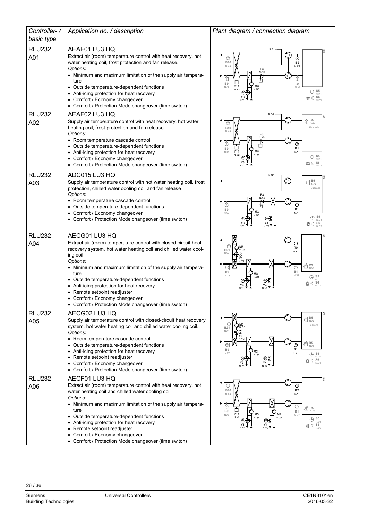| Controller-/         | Application no. / description                                                                                                                                                                                                                                                                                                                                                                                                                        | Plant diagram / connection diagram                                                                                                                                                                                                                                                                                           |
|----------------------|------------------------------------------------------------------------------------------------------------------------------------------------------------------------------------------------------------------------------------------------------------------------------------------------------------------------------------------------------------------------------------------------------------------------------------------------------|------------------------------------------------------------------------------------------------------------------------------------------------------------------------------------------------------------------------------------------------------------------------------------------------------------------------------|
| basic type           |                                                                                                                                                                                                                                                                                                                                                                                                                                                      |                                                                                                                                                                                                                                                                                                                              |
| <b>RLU232</b>        | AEAF01 LU3 HQ                                                                                                                                                                                                                                                                                                                                                                                                                                        | N.Q1                                                                                                                                                                                                                                                                                                                         |
| A01                  | Extract air (room) temperature control with heat recovery, hot<br>water heating coil, frost protection and fan release.<br>Options:<br>• Minimum and maximum limitation of the supply air tempera-<br>ture<br>Outside temperature-dependent functions<br>• Anti-icing protection for heat recovery<br>• Comfort / Economy changeover<br>• Comfort / Protection Mode changeover (time switch)                                                         | ⊕<br><b>B10</b><br><b>B2</b><br>N.X4<br>N.X1<br>F3<br>N.X3<br>đ<br>⊕<br>ГT<br><b>B9</b><br><b>B1</b><br>M <sub>3</sub><br>Y11<br>N X5<br>N.X2<br>N.Q3<br>S <sub>5</sub><br>⊕<br>N.D1<br>S6                                                                                                                                   |
| <b>RLU232</b><br>A02 | AEAF02 LU3 HQ<br>Supply air temperature control with heat recovery, hot water<br>heating coil, frost protection and fan release<br>Options:<br>• Room temperature cascade control<br>• Outside temperature-dependent functions<br>• Anti-icing protection for heat recovery<br>• Comfort / Economy changeover<br>• Comfort / Protection Mode changeover (time switch)                                                                                | N.Q1<br>B <sub>5</sub><br>d<br>N.X2<br>$_{\textscriptstyle{\mathrm{(T)}}}$<br>Cascade<br><b>B10</b><br>N.X4<br>$F_8$<br>N.X3<br>đ<br>⊙<br>由<br>B <sub>9</sub><br><b>B1</b><br>M <sub>3</sub><br>Y11<br>N.X1<br>N X5<br>N.Q3<br>N.Y2<br>$\bigoplus$ S5<br>N.D1<br>券 (S6<br>N.D2                                               |
| <b>RLU232</b>        | ADC015 LU3 HQ<br>Supply air temperature control with hot water heating coil, frost                                                                                                                                                                                                                                                                                                                                                                   | N.Q1<br>B <sub>5</sub><br>€                                                                                                                                                                                                                                                                                                  |
| A03                  | protection, chilled water cooling coil and fan release<br>Options:<br>• Room temperature cascade control<br>• Outside temperature-dependent functions<br>• Comfort / Economy changeover<br>• Comfort / Protection Mode changeover (time switch)                                                                                                                                                                                                      | N.X2<br>Cascade<br>F3<br>N.X3<br>đ<br>$^\copyright$<br>$\top$<br><b>B1</b><br>B <sub>9</sub><br>M <sub>3</sub><br>N.X1<br>N X4<br>$\bigoplus_{N.D.1}$<br>柴○ S6<br>N.D2<br>N <sub>Y1</sub><br>N Y <sub>2</sub>                                                                                                                |
| <b>RLU232</b>        | AECG01 LU3 HQ                                                                                                                                                                                                                                                                                                                                                                                                                                        | 8                                                                                                                                                                                                                                                                                                                            |
| A04                  | Extract air (room) temperature control with closed-circuit heat<br>recovery system, hot water heating coil and chilled water cool-<br>ing coil.<br>Options:<br>• Minimum and maximum limitation of the supply air tempera-<br>ture<br>• Outside temperature-dependent functions<br>• Anti-icing protection for heat recovery<br>Remote setpoint readjuster<br>• Comfort / Economy changeover<br>• Comfort / Protection Mode changeover (time switch) | <b>B2</b><br><b>B21</b><br>N.X1<br>N.X4<br>Y6<br>$R5$ <sub>N.X5</sub><br>Œ<br>Œ<br>⊙<br>B1<br>B <sub>9</sub><br>N.X2<br>N.X3<br>S <sub>5</sub><br>⊕<br>N.D<br>S <sub>6</sub>                                                                                                                                                 |
| <b>RLU232</b><br>A05 | AECG02 LU3 HQ<br>Supply air temperature control with closed-circuit heat recovery                                                                                                                                                                                                                                                                                                                                                                    | 흢<br>B <sub>5</sub><br>đ<br>N.X2                                                                                                                                                                                                                                                                                             |
|                      | system, hot water heating coil and chilled water cooling coil.<br>Options:<br>• Room temperature cascade control<br>• Outside temperature-dependent functions<br>Anti-icing protection for heat recovery<br>• Remote setpoint readjuster<br>• Comfort / Economy changeover<br>• Comfort / Protection Mode changeover (time switch)                                                                                                                   | Cascade<br><b>B21</b><br>N.X4<br>Y6<br>$R5$ <sub>N.X5</sub><br>n<br>⊕<br><b>B1</b><br>B <sub>9</sub><br>M <sub>3</sub><br>N.X1<br>N.X3<br>S <sub>5</sub><br>$\bigcirc$<br>N.D1<br>⊛<br>S <sub>6</sub><br>C<br>N.D2                                                                                                           |
| <b>RLU232</b><br>A06 | AECF01 LU3 HQ<br>Extract air (room) temperature control with heat recovery, hot<br>water heating coil and chilled water cooling coil.<br>Options:<br>• Minimum and maximum limitation of the supply air tempera-<br>ture<br>Outside temperature-dependent functions<br>• Anti-icing protection for heat recovery<br>• Remote setpoint readjuster<br>Comfort / Economy changeover                                                                     | $_{\oplus}$<br>⊕<br><b>B10</b><br><b>B2</b><br>N.X1<br>N.X4<br>đ<br>$\not\stackrel{\scriptscriptstyle \sf F}{\scriptscriptstyle \sf D}}\mathsf{R5}_{\scriptscriptstyle\sf N.X5}$<br>B <sub>9</sub><br>B1<br>Y11<br>M4<br>M3<br>N.X3<br>N.X2<br>N.Y2<br>N.Q1<br>N.Q3<br>$\bigoplus$ S5<br>N.D1<br>$S6$<br>$N.D2$<br>C<br>N.Y3 |
|                      | • Comfort / Protection Mode changeover (time switch)                                                                                                                                                                                                                                                                                                                                                                                                 |                                                                                                                                                                                                                                                                                                                              |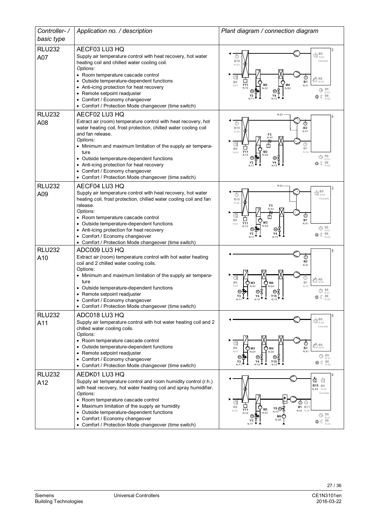| Controller-/  | Application no. / description                                                                                                                                                                                                                                                                                                                                                                                                 | Plant diagram / connection diagram                                                                                                                                                                                                                                                              |
|---------------|-------------------------------------------------------------------------------------------------------------------------------------------------------------------------------------------------------------------------------------------------------------------------------------------------------------------------------------------------------------------------------------------------------------------------------|-------------------------------------------------------------------------------------------------------------------------------------------------------------------------------------------------------------------------------------------------------------------------------------------------|
| basic type    |                                                                                                                                                                                                                                                                                                                                                                                                                               |                                                                                                                                                                                                                                                                                                 |
| <b>RLU232</b> | AECF03 LU3 HQ                                                                                                                                                                                                                                                                                                                                                                                                                 |                                                                                                                                                                                                                                                                                                 |
| A07           | Supply air temperature control with heat recovery, hot water<br>heating coil and chilled water cooling coil.<br>Options:<br>• Room temperature cascade control<br>• Outside temperature-dependent functions<br>• Anti-icing protection for heat recovery<br>• Remote setpoint readjuster<br>• Comfort / Economy changeover<br>• Comfort / Protection Mode changeover (time switch)                                            | B <sub>5</sub><br>⊕<br>N.X2<br><b>B10</b><br>Cascade<br>N.X4<br>đ<br>⊙<br>$\overline{\bigoplus}_{N,X5}^{\bullet}$<br><b>B1</b><br><b>B9</b><br>Y11<br>M <sub>3</sub><br>M4<br>N.X1<br>N.X3<br>N.Q1<br>N.Q3<br>N.Y2<br>$\bigoplus$ S <sub>5</sub><br>N.D1<br>券 (C S6<br>N.D2                     |
| <b>RLU232</b> | AECF02 LU3 HQ                                                                                                                                                                                                                                                                                                                                                                                                                 | N.Q1                                                                                                                                                                                                                                                                                            |
| A08           | Extract air (room) temperature control with heat recovery, hot<br>water heating coil, frost protection, chilled water cooling coil<br>and fan release.<br>Options:<br>• Minimum and maximum limitation of the supply air tempera-<br>ture<br>• Outside temperature-dependent functions<br>• Anti-icing protection for heat recovery<br>• Comfort / Economy changeover<br>• Comfort / Protection Mode changeover (time switch) | $_{\tiny\textcircled{\tiny 1}}$<br>(T)<br><b>B10</b><br><b>B2</b><br>N.X5<br>N.X1<br>F3<br>đ<br>⊕<br>$\vert$ T<br><b>B9</b><br>B1<br>Y11<br>M <sub>3</sub><br>N X2<br>N.X4<br>N.Y2<br>N.Q3<br>$\bigoplus$ S <sub>5</sub><br>N.D1<br>※ (S6<br>N.Y3                                               |
| <b>RLU232</b> | AECF04 LU3 HQ                                                                                                                                                                                                                                                                                                                                                                                                                 | N.Q1                                                                                                                                                                                                                                                                                            |
| A09           | Supply air temperature control with heat recovery, hot water<br>heating coil, frost protection, chilled water cooling coil and fan<br>release.<br>Options:<br>• Room temperature cascade control<br>• Outside temperature-dependent functions<br>• Anti-icing protection for heat recovery<br>• Comfort / Economy changeover<br>• Comfort / Protection Mode changeover (time switch)                                          | B <sub>5</sub><br>đ<br>N.X2<br>ℂ<br>Cascade<br><b>B10</b><br>N.X5<br>F <sub>3</sub><br>d<br>⊕<br>帀<br><b>B1</b><br>B <sub>9</sub><br>M <sub>3</sub><br>Y11<br>N.X1<br>N.X4<br>N.Q3<br>N.Y2<br>$\bigoplus$ S5<br>N.D1                                                                            |
| <b>RLU232</b> | ADC009 LU3 HQ                                                                                                                                                                                                                                                                                                                                                                                                                 |                                                                                                                                                                                                                                                                                                 |
| A10           | Extract air (room) temperature control with hot water heating<br>coil and 2 chilled water cooling coils.<br>Options:<br>• Minimum and maximum limitation of the supply air tempera-<br>ture<br>Outside temperature-dependent functions<br>• Remote setpoint readjuster<br>• Comfort / Economy changeover<br>• Comfort / Protection Mode changeover (time switch)                                                              | $^\circledR$<br><b>B2</b><br>N X1<br>ſт<br>$\overline{\text{m}}$ R5<br>B <sub>9</sub><br><b>B1</b><br>€<br>M3<br>M4<br>N.X2<br>N.Q1<br>$N$ $O$ 3<br>(L) S5<br>N.D1<br>S6<br>C                                                                                                                   |
| <b>RLU232</b> | ADC018 LU3 HQ                                                                                                                                                                                                                                                                                                                                                                                                                 |                                                                                                                                                                                                                                                                                                 |
| A11           | Supply air temperature control with hot water heating coil and 2<br>chilled water cooling coils.<br>Options:<br>• Room temperature cascade control<br>• Outside temperature-dependent functions<br>• Remote setpoint readjuster<br>• Comfort / Economy changeover<br>Comfort / Protection Mode changeover (time switch)                                                                                                       | $\bigoplus_{N.X2} \mathbf{B5}$<br>Cascade<br>G<br>⊕<br>R <sub>5</sub><br>N X4<br>B <sub>9</sub><br><b>B1</b><br>M <sub>3</sub><br>M <sub>4</sub><br>N.X1<br>N.X3<br>N.Q1<br>N.Q3<br>$\bigoplus$ S5<br>N.D1<br>Y15<br>※ (S6<br>Y3                                                                |
| <b>RLU232</b> | AEDK01 LU3 HQ                                                                                                                                                                                                                                                                                                                                                                                                                 |                                                                                                                                                                                                                                                                                                 |
| A12           | Supply air temperature control and room humidity control (r.h.)<br>with heat recovery, hot water heating coil and spray humidifier.<br>Options:<br>• Room temperature cascade control<br>• Maximum limitation of the supply air humidity<br>• Outside temperature-dependent functions<br>• Comfort / Economy changeover<br>• Comfort / Protection Mode changeover (time switch)                                               | $\overline{\mathbb{C}}$<br>đ<br><b>B15</b> B5<br>$N.X3$ $N.X2$<br>Cascade<br>¢<br>⊕<br>⊙<br>B <sub>9</sub><br><b>B1</b> B11<br>Y8 (M)<br>M <sub>3</sub><br>Y11<br>N.X1 N.X4<br>N.X5<br>N.Y3<br>N.Q1<br>N.Y2<br>$\bigoplus_{N.D.1}$<br>∞<br>M8<br>N.Q3<br>Y3 I<br><b> ※</b> ○ S6<br>N.D2<br>N.Y1 |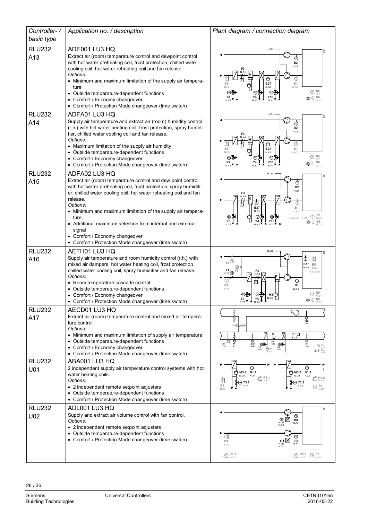| Controller-/         | Application no. / description                                                                                                                                                                                                                                                                                                                                                                                                                                         | Plant diagram / connection diagram                                                                                                                                                                                                                                                                                             |  |
|----------------------|-----------------------------------------------------------------------------------------------------------------------------------------------------------------------------------------------------------------------------------------------------------------------------------------------------------------------------------------------------------------------------------------------------------------------------------------------------------------------|--------------------------------------------------------------------------------------------------------------------------------------------------------------------------------------------------------------------------------------------------------------------------------------------------------------------------------|--|
| basic type           |                                                                                                                                                                                                                                                                                                                                                                                                                                                                       |                                                                                                                                                                                                                                                                                                                                |  |
| <b>RLU232</b><br>A13 | ADE001 LU3 HQ<br>Extract air (room) temperature control and dewpoint control<br>with hot water preheating coil, frost protection, chilled water<br>cooling coil, hot water reheating coil and fan release.<br>Options:<br>• Minimum and maximum limitation of the supply air tempera-<br>ture<br>• Outside temperature-dependent functions<br>• Comfort / Economy changeover<br>• Comfort / Protection Mode changeover (time switch)                                  | N.Q1<br>⊙<br><b>B2</b><br>N.X1<br>F <sub>3</sub><br>⊕<br>⊕<br>⊕<br><b>B27</b><br><b>B1</b><br>B <sub>9</sub><br>N.X2<br>N.X5<br>N.X3<br>$\bigoplus_{N.D1}$<br>$\mathbb{C}$ S6<br>Y3<br>N.Y2<br>N <sub>D2</sub>                                                                                                                 |  |
| <b>RLU232</b>        | ADFA01 LU3 HQ                                                                                                                                                                                                                                                                                                                                                                                                                                                         | N.Q1                                                                                                                                                                                                                                                                                                                           |  |
| A14                  | Supply air temperature and extract air (room) humidity control<br>(r.h.) with hot water heating coil, frost protection, spray humidi-<br>fier, chilled water cooling coil and fan release.<br>Options:<br>• Maximum limitation of the supply air humidity<br>• Outside temperature-dependent functions<br>• Comfort / Economy changeover<br>• Comfort / Protection Mode changeover (time switch)                                                                      | $_{\oplus}$<br><b>B2</b><br>N.X1<br>F <sub>3</sub><br>⊕<br>⊕<br>⊕<br>⊡<br>B <sub>9</sub><br><b>B27</b><br><b>B1</b><br>N.X5<br>N.X2<br>N.X3<br>$\bigoplus$ S <sub>N.D1</sub><br>※ C S6<br>N.D2<br>Y3<br>N.Y2                                                                                                                   |  |
| <b>RLU232</b>        | ADFA02 LU3 HQ                                                                                                                                                                                                                                                                                                                                                                                                                                                         | N.Q1                                                                                                                                                                                                                                                                                                                           |  |
| A15                  | Extract air (room) temperature control and dew point control<br>with hot water preheating coil, frost protection, spray humidifi-<br>er, chilled water cooling coil, hot water reheating coil and fan<br>release.<br>Options:<br>• Minimum and maximum limitation of the supply air tempera-<br>ture<br>• Additional maximum selection from internal and external<br>signal<br>• Comfort / Economy changeover<br>• Comfort / Protection Mode changeover (time switch) | $_{\tiny\textregistered}$<br><b>B2</b><br>N.X1<br>F3<br>⊕<br>⊕<br>冝<br><b>B27</b><br><b>B1</b><br>N.X2<br>N.X4<br>$\bigoplus_{N.D.1}$<br>N.X3 (010 V)<br>券 (C S6                                                                                                                                                               |  |
| <b>RLU232</b>        | AEFH01 LU3 HQ                                                                                                                                                                                                                                                                                                                                                                                                                                                         | N.Q1                                                                                                                                                                                                                                                                                                                           |  |
| A16                  | Supply air temperature and room humidity control (r.h.) with<br>mixed air dampers, hot water heating coil, frost protection,<br>chilled water cooling coil, spray humidifier and fan release.<br>Options:<br>• Room temperature cascade control<br>• Outside temperature-dependent functions<br>• Comfort / Economy changeover<br>• Comfort / Protection Mode changeover (time switch)                                                                                | ¢<br>đ<br>Y2<br><b>B15</b> B5<br>$N.X4$ $N.X2$<br>Y1<br>F3<br><b>Y6</b><br>Cascade<br>n.y2 @<br>N.X3<br>$^\copyright$<br>Œ<br><b>B1</b><br>B <sub>9</sub><br>N.X5<br>N.X1<br>⊕<br>$S_5$ <sub>N.D</sub><br>M8 <sup>C</sup><br>N.Q3<br>Y3<br>Y4<br>N.D2                                                                          |  |
| <b>RLU232</b>        | AECD01 LU3 HQ                                                                                                                                                                                                                                                                                                                                                                                                                                                         | 5                                                                                                                                                                                                                                                                                                                              |  |
| A17                  | Extract air (room) temperature control and mixed air tempera-<br>ture control<br>Options:<br>• Minimum and maximum limitation of supply air temperature<br>• Outside temperature-dependent functions<br>• Comfort / Economy changeover<br>• Comfort / Protection Mode changeover (time switch)                                                                                                                                                                        | ⑥<br>Y2<br>$\mathop{\odot}\limits_{\mathsf{B2}}$<br>Y6 @<br>띰<br>⊚<br>$\mathop{\mathsf{B}}\limits_{\mathsf{R}}^{\mathsf{B}}$<br>$\bigcirc_{B1}$<br>$N$ <sub></sub> $X2$<br>a<br>$\frac{F4}{N,X3}$<br>⊛≸<br>B <sub>9</sub><br>Y1<br>⊶<br>$\bigoplus_{N,D}$<br><b>Y3</b><br>N.Y2<br>$\frac{Y4}{N,Y3}$<br>$O^M1$<br>券 <b>C</b> 56 |  |
| <b>RLU232</b>        | ABA001 LU3 HQ                                                                                                                                                                                                                                                                                                                                                                                                                                                         | ⊕<br>⊕                                                                                                                                                                                                                                                                                                                         |  |
| U01                  | 2 independent supply air temperature control systems with hot<br>water heating coils.<br>Options:<br>• 2 independent remote setpoint adjusters<br>• Outside temperature-dependent functions<br>• Comfort / Protection Mode changeover (time switch)                                                                                                                                                                                                                   | M3.1 B1.1<br>∩<br>M3.2 B1.2<br>N.X1<br>N.Q3<br>N.Q1<br>N.X3<br>$\times$ R5.1<br>R5.2<br>d<br>(M) Y3.2<br>(M) Y3.1<br>B <sub>9</sub><br><b>B</b> S5<br>N.Y1<br>N.Y2<br>N.X5<br>N.D1                                                                                                                                             |  |
| <b>RLU232</b>        | ADL001 LU3 HQ                                                                                                                                                                                                                                                                                                                                                                                                                                                         |                                                                                                                                                                                                                                                                                                                                |  |
| U02                  | Supply and extract air volume control with fan control.<br>Options:<br>• 2 independent remote setpoint adjusters<br>• Outside temperature-dependent functions<br>• Comfort / Protection Mode changeover (time switch)                                                                                                                                                                                                                                                 | ⊕<br>$G2$<br>$N.Q2$<br>$N.Y2$<br>B <sub>8</sub><br>đ<br>℗<br>$\mathcal{V}_{t_2}$<br><b>B7</b><br>B <sub>9</sub><br>G1<br>N.Q1<br>N.X1<br>N.X5<br>$K_{N,X4}$<br>$\times$ R5.2<br>$\bigoplus_{N.D.1}$                                                                                                                            |  |
|                      |                                                                                                                                                                                                                                                                                                                                                                                                                                                                       |                                                                                                                                                                                                                                                                                                                                |  |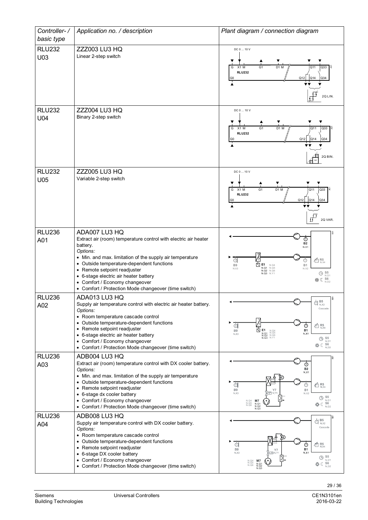| Controller-/         | Application no. / description                                                                                                                                                                                                                                                                                                                                       | Plant diagram / connection diagram                                                                                                                                                                                                                                                                     |  |  |
|----------------------|---------------------------------------------------------------------------------------------------------------------------------------------------------------------------------------------------------------------------------------------------------------------------------------------------------------------------------------------------------------------|--------------------------------------------------------------------------------------------------------------------------------------------------------------------------------------------------------------------------------------------------------------------------------------------------------|--|--|
| basic type           |                                                                                                                                                                                                                                                                                                                                                                     |                                                                                                                                                                                                                                                                                                        |  |  |
| <b>RLU232</b>        | <b>ZZZ003 LU3 HQ</b>                                                                                                                                                                                                                                                                                                                                                | DC 0  10 V                                                                                                                                                                                                                                                                                             |  |  |
| U03                  | Linear 2-step switch                                                                                                                                                                                                                                                                                                                                                | D1 M<br>Q <sub>33</sub><br>G<br>X1 M<br>G <sub>1</sub><br>Q11<br><b>RLU232</b><br>Q12<br>Q14<br>Q34<br>G <sub>0</sub><br>2Q LIN.                                                                                                                                                                       |  |  |
| <b>RLU232</b>        | <b>ZZZ004 LU3 HQ</b>                                                                                                                                                                                                                                                                                                                                                | DC 0  10 V                                                                                                                                                                                                                                                                                             |  |  |
| U04                  | Binary 2-step switch                                                                                                                                                                                                                                                                                                                                                | Q33<br>$X1$ M<br>G <sub>1</sub><br>D1 M<br>Q11<br>G<br><b>RLU232</b><br>Q12<br>Q14<br> Q34<br>G <sub>0</sub><br>2Q BIN.<br>Q <sub>2</sub>                                                                                                                                                              |  |  |
| <b>RLU232</b>        | <b>ZZZ005 LU3 HQ</b>                                                                                                                                                                                                                                                                                                                                                | DC 0  10 V                                                                                                                                                                                                                                                                                             |  |  |
| U05                  | Variable 2-step switch                                                                                                                                                                                                                                                                                                                                              | $D1$ M<br>$Q33$ $8$<br>G<br>X1 M<br>G <sub>1</sub><br>Q11<br><b>RLU232</b><br>Q12<br>Q14<br>$\overline{)$ Q34<br>굑<br>2Q VAR.                                                                                                                                                                          |  |  |
| <b>RLU236</b>        | ADA007 LU3 HQ                                                                                                                                                                                                                                                                                                                                                       |                                                                                                                                                                                                                                                                                                        |  |  |
| A01                  | Extract air (room) temperature control with electric air heater<br>battery.<br>Options:<br>• Min. and max. limitation of the supply air temperature<br>• Outside temperature-dependent functions<br>• Remote setpoint readjuster<br>• 6-stage electric air heater battery<br>• Comfort / Economy changeover<br>• Comfort / Protection Mode changeover (time switch) | $_{\tiny\textcircled{\tiny 2}}$<br><b>B2</b><br>N.X1<br>đ<br>$\times$ R <sub>N.X4</sub><br>⊕<br>E <sub>1</sub><br>N<br>B <sub>9</sub><br>B1<br>N.Q4<br>N.Q5<br>N.Q1<br>N.X3<br>N.X2<br>N.Q2 N.Q6<br>$\bigoplus$ S <sub>5</sub><br>N.Q3<br>N.Y1<br>N.D1<br><b> 86</b><br>N <sub>D2</sub>                |  |  |
| <b>RLU236</b>        | ADA013 LU3 HQ                                                                                                                                                                                                                                                                                                                                                       | lē<br>$\bigoplus_{N,X2}^{B5}$                                                                                                                                                                                                                                                                          |  |  |
| A02                  | Supply air temperature control with electric air heater battery.<br>Options:<br>• Room temperature cascade control<br>• Outside temperature-dependent functions<br>Remote setpoint readjuster<br>• 6-stage electric air heater battery<br>• Comfort / Economy changeover<br>• Comfort / Protection Mode changeover (time switch)                                    | Cascade<br>व<br>$\tt t^4_{\rm N,X4}$<br>⊙<br>$R$<br>$N. Q1$<br>$N. Q2$<br>$N. Q5$<br>$N. Q3$<br>$N. V1$<br>$N. Q3$<br>$N. V1$<br><b>B1</b><br>B <sub>9</sub><br>N.X1<br>N, X3<br>$\bigoplus$ S <sub>5</sub><br>N.D1<br>数 < S6<br>N.D2                                                                  |  |  |
| <b>RLU236</b>        | ADB004 LU3 HQ                                                                                                                                                                                                                                                                                                                                                       |                                                                                                                                                                                                                                                                                                        |  |  |
| A03                  | Extract air (room) temperature control with DX cooler battery.<br>Options:<br>• Min. and max. limitation of the supply air temperature<br>• Outside temperature-dependent functions<br>Remote setpoint readjuster<br>• 6-stage dx cooler battery<br>• Comfort / Economy changeover<br>• Comfort / Protection Mode changeover (time switch)                          | $\mathfrak{G}$<br><b>B2</b><br>N.X1<br>d<br>$40^{R5}$ $_{N,X4}$<br>⊙<br>B <sub>9</sub><br>B <sub>1</sub><br>Y7<br>N. X3<br>(CZ) N.Y<br>N.X2<br>S <sub>5</sub><br>$\circledcirc$<br>N.D1<br>N.Q4<br>N.Q5<br>N.Q6<br>M7<br><b> * €</b> 56<br>$\begin{array}{c} N.Q1 \\ N.Q2 \\ N.Q3 \end{array}$<br>N.D2 |  |  |
| <b>RLU236</b><br>A04 | ADB008 LU3 HQ<br>Supply air temperature control with DX cooler battery.                                                                                                                                                                                                                                                                                             | $_{\rm B5}$<br>$Q \frac{B}{N}$                                                                                                                                                                                                                                                                         |  |  |
|                      | Options:<br>• Room temperature cascade control<br>• Outside temperature-dependent functions<br>Remote setpoint readjuster<br>• 6-stage DX cooler battery<br>• Comfort / Economy changeover<br>• Comfort / Protection Mode changeover (time switch)                                                                                                                  | Cascade<br>đ<br>$40R_{N,X4}$<br>$\circ$<br><b>B1</b><br>B <sub>9</sub><br>Y7<br>$N \times 1$<br>N, X3<br>☑<br>$\bigoplus$ S5<br>N.D1<br>N.Q4<br>N.Q5<br>N.Q6<br>$\begin{array}{c} \text{M7} \\ \text{N.Q1} \\ \text{N.Q2} \\ \text{N.Q3} \end{array}$<br><b> * € 56</b><br>N.D2                        |  |  |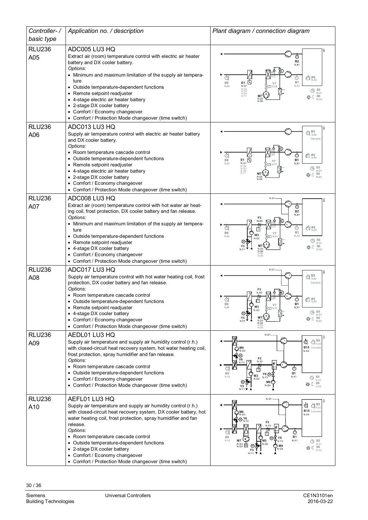| Controller-/         | Application no. / description                                                                                                                                                                                                                                                                                                                                                                                                                        | Plant diagram / connection diagram                                                                                                                                                                                                                                                                                                                                                   |  |  |
|----------------------|------------------------------------------------------------------------------------------------------------------------------------------------------------------------------------------------------------------------------------------------------------------------------------------------------------------------------------------------------------------------------------------------------------------------------------------------------|--------------------------------------------------------------------------------------------------------------------------------------------------------------------------------------------------------------------------------------------------------------------------------------------------------------------------------------------------------------------------------------|--|--|
| basic type           |                                                                                                                                                                                                                                                                                                                                                                                                                                                      |                                                                                                                                                                                                                                                                                                                                                                                      |  |  |
| <b>RLU236</b><br>A05 | ADC005 LU3 HQ<br>Extract air (room) temperature control with electric air heater<br>battery and DX cooler battery.<br>Options:<br>• Minimum and maximum limitation of the supply air tempera-<br>ture<br>• Outside temperature-dependent functions<br>• Remote setpoint readjuster<br>• 4-stage electric air heater battery<br>• 2-stage DX cooler battery<br>• Comfort / Economy changeover<br>• Comfort / Protection Mode changeover (time switch) | ⊙<br><b>B2</b><br>N.X1<br>$\tt t_{\rm N,X4}^{\rm 6}$<br>đ<br>⊙<br>E1 囟<br><b>B1</b><br>B9<br>N.X2<br>N.X3<br>N.Q1<br>N. Q2<br>N. Q3<br>N. Q4<br>$\bigoplus$ S <sub>5</sub><br>N.D1<br>$\frac{\mathsf{S6}}{\mathsf{N}.\mathsf{D2}}$<br>なんじょう<br>N.Q5<br>N.Q6                                                                                                                          |  |  |
| <b>RLU236</b>        | ADC013 LU3 HQ                                                                                                                                                                                                                                                                                                                                                                                                                                        |                                                                                                                                                                                                                                                                                                                                                                                      |  |  |
| A06                  | Supply air temperature control with electric air heater battery<br>and DX cooler battery.<br>Options:<br>• Room temperature cascade control<br>• Outside temperature-dependent functions<br>• Remote setpoint readjuster<br>• 4-stage electric air heater battery<br>• 2-stage DX cooler battery<br>• Comfort / Economy changeover<br>• Comfort / Protection Mode changeover (time switch)                                                           | <b>B5</b><br>đ<br>N.X2<br>Cascade<br>Ó<br>$40^{185}$ R5<br>C<br>固<br><b>B9</b><br>E1<br><b>B1</b><br>$N$ <sub>2</sub> $X$ 3<br>N.X1<br>N.Q <sup>*</sup><br>N.Q2<br>N.Q3<br>$\bigoplus_{N,D}$ S5<br>N.Q4<br>$S6$ <sub>N.D2</sub><br>なく                                                                                                                                                |  |  |
| <b>RLU236</b>        | ADC008 LU3 HQ                                                                                                                                                                                                                                                                                                                                                                                                                                        | N.Q1                                                                                                                                                                                                                                                                                                                                                                                 |  |  |
| A07                  | Extract air (room) temperature control with hot water air heat-<br>ing coil, frost protection, DX cooler battery and fan release.<br>Options:<br>• Minimum and maximum limitation of the supply air tempera-<br>ture<br>• Outside temperature-dependent functions<br>• Remote setpoint readjuster<br>• 4-stage DX cooler battery<br>• Comfort / Economy changeover<br>• Comfort / Protection Mode changeover (time switch)                           | ⊙<br><b>B2</b><br>N.X1<br>N.X3<br>đ<br>$\overline{\text{m}}$ R5<br>C<br>I٢<br><b>B1</b><br><b>B9</b><br>M <sub>3</sub><br>N.X2<br>N.X4<br>N.Q2<br>$\bigoplus$ S <sub>N.D1</sub><br>Y3<br>$\frac{\mathsf{S6}}{\mathsf{N.D2}}$<br>"≪ ⊘<br>N.Q3<br>N.Q4<br>N.Q5<br>N O6                                                                                                                 |  |  |
| <b>RLU236</b>        | ADC017 LU3 HQ                                                                                                                                                                                                                                                                                                                                                                                                                                        | N.Q1<br>B <sub>5</sub>                                                                                                                                                                                                                                                                                                                                                               |  |  |
| A08                  | Supply air temperature control with hot water heating coil, frost<br>protection, DX cooler battery and fan release.<br>Options:<br>• Room temperature cascade control<br>• Outside temperature-dependent functions<br>• Remote setpoint readjuster<br>• 4-stage DX cooler battery<br>• Comfort / Economy changeover<br>• Comfort / Protection Mode changeover (time switch)                                                                          | $\bigoplus_{N\times 2}^{\bullet\bullet}$<br>Cascade<br>R <sub>5</sub><br>⊙<br>冇<br>B <sub>9</sub><br><b>B1</b><br>Y7<br>M <sub>3</sub><br>N.X4<br>N.X1<br>$-72$ N.Y2<br>N.Q2<br>$\frac{\mathsf{S5}}{\mathsf{N}.\mathsf{D1}}$<br>⊕<br>柴 (S6<br>N.Q4<br>N.Q6                                                                                                                           |  |  |
| <b>RLU236</b>        | AEDL01 LU3 HQ                                                                                                                                                                                                                                                                                                                                                                                                                                        | N.Q1<br>B <sub>5</sub>                                                                                                                                                                                                                                                                                                                                                               |  |  |
| A09                  | Supply air temperature and supply air humidity control (r.h.)<br>with closed-circuit heat recovery system, hot water heating coil,<br>frost protection, spray humidifier and fan release.<br>Options:<br>• Room temperature cascade control<br>Outside temperature-dependent functions<br>• Comfort / Economy changeover<br>• Comfort / Protection Mode changeover (time switch)                                                                     | đ<br>$^\copyright$<br>B15 Cascade<br>M6<br>N.Q3<br>N.X4<br>⋒<br>$F_3$<br>N.X3<br>Y6<br>N.Y2<br>$^\copyright$<br>由<br>B <sub>9</sub><br><b>B1</b><br>Y8 @<br>M3<br>NX5<br>N.X1<br>$\bigoplus_{N.D.1}$<br>N.Y3<br>N.Q2<br>M8<br>S <sub>6</sub><br>数で<br>N.Q4<br>Y3<br>N.D2<br>NY <sub>1</sub>                                                                                          |  |  |
| <b>RLU236</b>        | AEFL01 LU3 HQ                                                                                                                                                                                                                                                                                                                                                                                                                                        | N.Q1                                                                                                                                                                                                                                                                                                                                                                                 |  |  |
| A10                  | Supply air temperature and supply air humidity control (r.h.)<br>with closed-circuit heat recovery system, DX cooler battery, hot<br>water heating coil, frost protection, spray humidifier and fan<br>release.<br>Options:<br>• Room temperature cascade control<br>• Outside temperature-dependent functions<br>• 2-stage DX cooler battery<br>• Comfort / Economy changeover<br>• Comfort / Protection Mode changeover (time switch)              | Ġ<br>B <sub>5</sub><br>$\bigoplus_{N \in \mathbb{Z}}$<br>B15 Cascade<br>M6<br>N.X4<br>® Y6<br>® N.Y2<br>F <sub>3</sub><br>N.X3<br>⊙<br>Iт<br>B <sub>9</sub><br><b>B1</b><br>Y8<br>(M)<br>NX5<br>N.X1<br>$\begin{array}{c} \bigoplus \limits_{\text{N.D1}} \text{S5} \\ \text{*}\raisebox{-2pt}{$\scriptstyle\uparrow$} \mathbb{C} \end{array}$<br>M <sub>3</sub><br>M8<br>N.Q6<br>Y3 |  |  |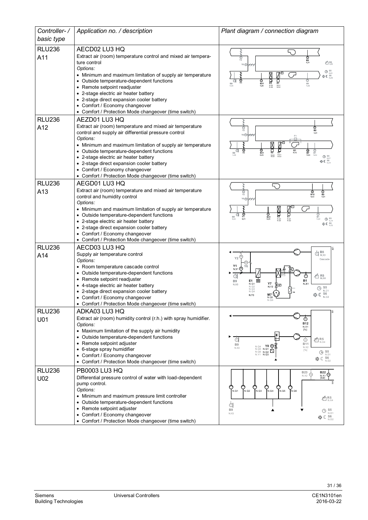| Controller-/         | Application no. / description                                                          | Plant diagram / connection diagram                                                                                                                                                     |  |  |
|----------------------|----------------------------------------------------------------------------------------|----------------------------------------------------------------------------------------------------------------------------------------------------------------------------------------|--|--|
| basic type           |                                                                                        |                                                                                                                                                                                        |  |  |
| <b>RLU236</b>        | AECD02 LU3 HQ<br>Extract air (room) temperature control and mixed air tempera-         |                                                                                                                                                                                        |  |  |
| A11                  | ture control                                                                           | $\frac{\odot}{\gamma_2}$<br>ල<br>82<br>凸 R5<br>N.X1<br>Y6 <sup>1</sup>                                                                                                                 |  |  |
|                      | Options:<br>• Minimum and maximum limitation of supply air temperature                 | $\begin{array}{c}\n\bigoplus\limits_{N,D1}\mathbb{S}5\\ \bigoplus\limits_{N,D2}\mathbb{S}6\\ \bigoplus\limits_{N,D2}\end{array}$                                                       |  |  |
|                      | • Outside temperature-dependent functions                                              | 古<br>흢<br>$\overline{\mathbb{Q}}_{\scriptscriptstyle{B31}}$<br>⊙<br>B9                                                                                                                 |  |  |
|                      | • Remote setpoint readjuster                                                           | <b>B1</b><br>N.X2<br>$^{N. Q3}_{N. Q4}$<br>N.Q1<br>N.Q2                                                                                                                                |  |  |
|                      | • 2-stage electric air heater battery<br>• 2-stage direct expansion cooler battery     |                                                                                                                                                                                        |  |  |
|                      | • Comfort / Economy changeover                                                         |                                                                                                                                                                                        |  |  |
| <b>RLU236</b>        | • Comfort / Protection Mode changeover (time switch)<br>AEZD01 LU3 HQ                  |                                                                                                                                                                                        |  |  |
| A12                  | Extract air (room) temperature and mixed air temperature                               | ල<br>82                                                                                                                                                                                |  |  |
|                      | control and supply air differential pressure control                                   | $\frac{\odot}{\gamma_2}$<br>N.X <sup>+</sup><br>Y6 <sup>O-</sup>                                                                                                                       |  |  |
|                      | Options:<br>• Minimum and maximum limitation of supply air temperature                 | X                                                                                                                                                                                      |  |  |
|                      | • Outside temperature-dependent functions                                              | 古<br>$\frac{\mathbb{Q}}{\mathsf{Y1}}$<br>$rac{1}{1}$ <sub>B31</sub><br>$\frac{G1}{N \cdot 12}$<br>다<br>Оя<br>В7<br>$\frac{6}{81}$<br>$\mathbb{G}_{\mathbb{B}^9}$<br>$N.03N.04$<br>N.X3 |  |  |
|                      | • 2-stage electric air heater battery<br>• 2-stage direct expansion cooler battery     | N.Q1<br>N.Q2<br>O <sup>S5</sup><br>柴C S6                                                                                                                                               |  |  |
|                      | • Comfort / Economy changeover                                                         |                                                                                                                                                                                        |  |  |
|                      | • Comfort / Protection Mode changeover (time switch)                                   |                                                                                                                                                                                        |  |  |
| <b>RLU236</b><br>A13 | AEGD01 LU3 HQ<br>Extract air (room) temperature and mixed air temperature              | ⊚                                                                                                                                                                                      |  |  |
|                      | control and humidity control                                                           | $\overline{\mathcal{S}}_{B12}$<br>$\overline{\mathbf{B}}_{\mathbf{B2}}$<br>Y2<br>Y6 @                                                                                                  |  |  |
|                      | Options:<br>• Minimum and maximum limitation of supply air temperature                 | ⊠                                                                                                                                                                                      |  |  |
|                      | • Outside temperature-dependent functions                                              | 賈<br>े<br>स<br>ම<br>Y1<br>$\overline{\mathbf{O}}_{\mathbf{B31}}$<br>a<br>$\bigoplus_{\substack{\text{B}1 \text{ N}, \text{X2}}}$<br>B9                                                 |  |  |
|                      | • 2-stage electric air heater battery<br>• 2-stage direct expansion cooler battery     | $\bigoplus_{N,D'}$<br>N.Q3<br>N.Q4<br>N.Q1<br>N.Q2<br><b>券</b> € 56                                                                                                                    |  |  |
|                      | • Comfort / Economy changeover                                                         |                                                                                                                                                                                        |  |  |
|                      | • Comfort / Protection Mode changeover (time switch)                                   |                                                                                                                                                                                        |  |  |
| <b>RLU236</b>        | AECD03 LU3 HQ<br>Supply air temperature control                                        | $\bigoplus_{N \in \mathbb{X}^2} \mathbf{B5}$                                                                                                                                           |  |  |
| A14                  | Options:                                                                               | Y2<br>Cascade                                                                                                                                                                          |  |  |
|                      | • Room temperature cascade control                                                     | Υ1<br>$N.Y1$ $\circledD$                                                                                                                                                               |  |  |
|                      | • Outside temperature-dependent functions<br>• Remote setpoint readjuster              | $\times$ R5 $_{\scriptscriptstyle\rm N.X4}$<br>⊙<br>靣<br><b>B1</b><br>B <sub>9</sub><br>E1                                                                                             |  |  |
|                      | • 4-stage electric air heater battery                                                  | N.X1<br>$\begin{array}{c}\n Y7 \\  N.Y2\n \end{array}$<br>N, X3<br>N.Q1<br>N.Q2<br>N.Q3<br>$\bigoplus$ S <sub>5</sub><br>N.D                                                           |  |  |
|                      | • 2-stage direct expansion cooler battery<br>• Comfort / Economy changeover            | N.Q4<br>柴○ S6<br>N.D2<br>M7<br>N.Y3<br>N.Q5                                                                                                                                            |  |  |
|                      | • Comfort / Protection Mode changeover (time switch)                                   | N.Q6                                                                                                                                                                                   |  |  |
| <b>RLU236</b>        | ADKA03 LU3 HQ<br>Extract air (room) humidity control (r.h.) with spray humidifier.     |                                                                                                                                                                                        |  |  |
| U01                  | Options:                                                                               | $^{\circ}$<br><b>B12</b><br>N.X1                                                                                                                                                       |  |  |
|                      | • Maximum limitation of the supply air humidity                                        | [%]                                                                                                                                                                                    |  |  |
|                      | • Outside temperature-dependent functions<br>Remote setpoint adjuster                  | ØR5<br>©R5<br>⊙<br>€<br><b>B11</b><br><b>B9</b>                                                                                                                                        |  |  |
|                      | • 6-stage spray humidifier                                                             | Y8 (M<br>N.Q4<br>N.X2<br>N.X3<br>N.Q5 N.Q1<br>$[\%]$<br>N.Q6 N.Q2 $\Delta$<br>$\bigoplus$ S <sub>5</sub>                                                                               |  |  |
|                      | • Comfort / Economy changeover<br>• Comfort / Protection Mode changeover (time switch) | N.Y1 N.Q3<br>N.D1<br>※ (S6                                                                                                                                                             |  |  |
| <b>RLU236</b>        | PB0003 LU3 HQ                                                                          | <b>B23</b><br><b>B22</b>                                                                                                                                                               |  |  |
| U02                  | Differential pressure control of water with load-dependent                             | ⊕<br>⊕<br>N.X2<br>N.X1<br>[bar]                                                                                                                                                        |  |  |
|                      | pump control.<br>Options:                                                              | O<br>Pn.q4<br>$\bigcirc$ <sub>N.Q5</sub><br>$\bigcirc$ <sub>N.Q3</sub><br>$\sum_{\mathsf{N. Q6}}$                                                                                      |  |  |
|                      | • Minimum and maximum pressure limit controller                                        | N.Q2<br>N.Q1<br>$40R_{N,X4}$                                                                                                                                                           |  |  |
|                      | • Outside temperature-dependent functions<br>• Remote setpoint adjuster                | d                                                                                                                                                                                      |  |  |
|                      | • Comfort / Economy changeover                                                         | B <sub>9</sub><br>S5<br>⊕<br>N.D1<br>N.X3                                                                                                                                              |  |  |
|                      | • Comfort / Protection Mode changeover (time switch)                                   | 莽∈ S6<br>N.D2                                                                                                                                                                          |  |  |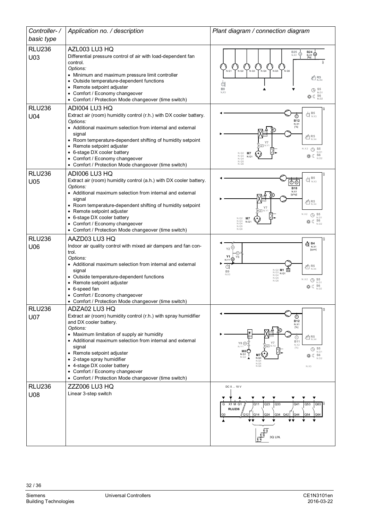| Controller-/                | Application no. / description                                                                                                                                                                                                                                                                                                                                                                                                      | Plant diagram / connection diagram                                                                                                                                                                                                                                                                                                                                                                                                                               |  |
|-----------------------------|------------------------------------------------------------------------------------------------------------------------------------------------------------------------------------------------------------------------------------------------------------------------------------------------------------------------------------------------------------------------------------------------------------------------------------|------------------------------------------------------------------------------------------------------------------------------------------------------------------------------------------------------------------------------------------------------------------------------------------------------------------------------------------------------------------------------------------------------------------------------------------------------------------|--|
| basic type                  |                                                                                                                                                                                                                                                                                                                                                                                                                                    |                                                                                                                                                                                                                                                                                                                                                                                                                                                                  |  |
| <b>RLU236</b><br>U03        | AZL003 LU3 HQ<br>Differential pressure control of air with load-dependent fan<br>control.<br>Options:<br>• Minimum and maximum pressure limit controller<br>Outside temperature-dependent functions<br>• Remote setpoint adjuster<br>• Comfort / Economy changeover<br>• Comfort / Protection Mode changeover (time switch)                                                                                                        | <b>B25</b><br>$B24$ $\phi$<br>◉<br>N.X2<br>$N \times 1$<br>$[Pa]$<br>N.Q2<br>N.Q3<br>N.Q4<br>N.Q5<br>N <sub>O1</sub><br>N.Q6<br>$46R_{N,X4}$<br>đ<br>B <sub>9</sub><br>$\bigoplus$ S <sub>5</sub><br>N,X3<br>N.D1<br>券 (S6                                                                                                                                                                                                                                       |  |
| <b>RLU236</b>               | ADI004 LU3 HQ                                                                                                                                                                                                                                                                                                                                                                                                                      |                                                                                                                                                                                                                                                                                                                                                                                                                                                                  |  |
| U04                         | Extract air (room) humidity control (r.h.) with DX cooler battery.<br>Options:<br>• Additional maximum selection from internal and external<br>signal<br>• Room temperature-dependent shifting of humidity setpoint<br>• Remote setpoint adjuster<br>• 6-stage DX cooler battery<br>• Comfort / Economy changeover<br>• Comfort / Protection Mode changeover (time switch)                                                         | $\bigoplus_{N,X3}$<br>$\circledcirc$<br><b>B12</b><br>N.X1<br>[%]<br>$\tt{\vec{\hat\Xi}}{}^{R5}_{\hbox{\tiny N.X4}}$<br>N.X2<br>$\odot$<br>S <sub>5</sub><br>N.D1<br>N.Q2<br>M7<br>S <sub>6</sub><br>N.Q3<br>N.Q1<br>N.Q4<br>N.D2<br>N. Q5<br>N.Q6                                                                                                                                                                                                               |  |
| <b>RLU236</b>               | ADI006 LU3 HQ                                                                                                                                                                                                                                                                                                                                                                                                                      |                                                                                                                                                                                                                                                                                                                                                                                                                                                                  |  |
| U05                         | Extract air (room) humidity control (a.h.) with DX cooler battery.<br>Options:<br>• Additional maximum selection from internal and external<br>signal<br>• Room temperature-dependent shifting of humidity setpoint<br>• Remote setpoint adjuster<br>• 6-stage DX cooler battery<br>• Comfort / Economy changeover<br>• Comfort / Protection Mode changeover (time switch)                                                         | $\bigoplus_{N,X3}$<br>$\overline{\mathbb{O} \, \mathbb{O}}$<br><b>B18</b><br>N.X1<br>$\times$ R5<br>$_{\rm N,X4}$<br>N.X2<br>$\bigoplus$ S <sub>5</sub><br>N.D1<br>$\begin{array}{cc} \mathsf{N.Q2} & \mathsf{M7} \\ \mathsf{N.Q3} & \mathsf{N.Q} \\ \mathsf{N.Q4} & \end{array}$<br><b>株(S6</b><br>N.Q1<br>N.D2<br>N.Q5<br>N.Q6                                                                                                                                 |  |
| <b>RLU236</b>               | AAZD03 LU3 HQ                                                                                                                                                                                                                                                                                                                                                                                                                      |                                                                                                                                                                                                                                                                                                                                                                                                                                                                  |  |
| U06                         | Indoor air quality control with mixed air dampers and fan con-<br>trol.<br>Options:<br>• Additional maximum selection from internal and external<br>signal<br>• Outside temperature-dependent functions<br>• Remote setpoint adjuster<br>• 6-speed fan<br>Comfort / Economy changeover<br>• Comfort / Protection Mode changeover (time switch)                                                                                     | <b>©B4</b><br>N.X1<br>Y2<br>[ppm]<br>Y1<br>Y6<br>N.Y1<br>$\times$ R <sub>N X4</sub><br>Œ<br>N.Q2 M1<br>N.Q3 N.Q1<br>uu.<br>B <sub>9</sub><br>N.X3<br>N.Q4<br>N.Q5<br>N.X2<br>$\bigoplus_{N \in \mathbb{N}}$<br>N.Q6<br>N.D1<br><b> * € 56</b><br>N.D2                                                                                                                                                                                                            |  |
| <b>RLU236</b><br><b>U07</b> | ADZA02 LU3 HQ<br>Extract air (room) humidity control (r.h.) with spray humidifier<br>and DX cooler battery.<br>Options:<br>• Maximum limitation of supply air humidity<br>• Additional maximum selection from internal and external<br>signal<br>• Remote setpoint adjuster<br>• 2-stage spray humidifier<br>• 4-stage DX cooler battery<br>• Comfort / Economy changeover<br>• Comfort / Protection Mode changeover (time switch) | ⊚<br><b>B12</b><br>N.X1<br>[%]<br>$40R_{N,X4}$<br>⊙<br><b>B11</b><br><b>Y7</b><br>Y8 (M)<br>N.X2<br>-17 N<br>N.Y1<br>$[\%] % \centering \includegraphics[width=0.9\columnwidth]{figures/fig_10.pdf} \caption{The 3D (black) model for a different region of the left (red) model. The left (red) model is shown in Fig.~\ref{fig:10}.} \label{fig:10}$<br>$\bigoplus$ S <sub>5</sub><br>M8 (<br>N.D1<br>$N.Q1$<br>$N.Q2$<br>N 03<br>N.D2<br>N.Q5<br>N.Q6<br>N.X3 |  |
| <b>RLU236</b>               | <b>ZZZ006 LU3 HQ</b>                                                                                                                                                                                                                                                                                                                                                                                                               | DC 0  10 V                                                                                                                                                                                                                                                                                                                                                                                                                                                       |  |
| U08                         | Linear 3-step switch                                                                                                                                                                                                                                                                                                                                                                                                               | X1 M G1<br>Q23<br>Q33<br>Q11<br>Q41<br>Q53<br>Q63<br>G<br><b>RLU236</b><br>Q24<br>Q12<br>Q14<br>Q34 Q42<br>Q44<br>Q54<br>3Q LIN                                                                                                                                                                                                                                                                                                                                  |  |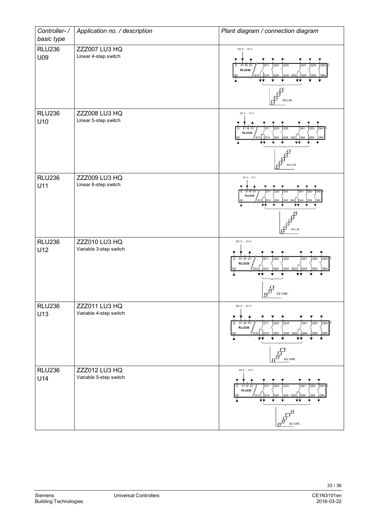| Controller-/         | Application no. / description                  | Plant diagram / connection diagram                                                                                                                                                               |  |  |
|----------------------|------------------------------------------------|--------------------------------------------------------------------------------------------------------------------------------------------------------------------------------------------------|--|--|
| basic type           |                                                |                                                                                                                                                                                                  |  |  |
| <b>RLU236</b><br>U09 | ZZZ007 LU3 HQ<br>Linear 4-step switch          | DC 0  10 V<br>Q <sub>33</sub><br>X1 M G1<br>$\overline{Q}23$<br>Q <sub>41</sub><br>Q53<br>Q63<br>G<br><b>RLU236</b><br>Q14<br>Q34 Q42 Q44 Q54<br>Q24<br>G <sub>0</sub><br>Q12<br>Q64<br>4Q LIN.  |  |  |
| <b>RLU236</b><br>U10 | <b>ZZZ008 LU3 HQ</b><br>Linear 5-step switch   | DC 0  10 V<br>Q33<br>Q23<br>G<br>X1 M G1<br>Q11<br>Q41<br>Q53<br>Q63<br><b>RLU236</b><br>Q44<br>Q34 Q42<br>O14<br>Q24<br>Ϋ́V<br>5Q LIN.                                                          |  |  |
| <b>RLU236</b><br>U11 | <b>ZZZ009 LU3 HQ</b><br>Linear 6-step switch   | DC 0  10 V<br>Q33<br>X1 M G1<br>Q23<br>Q53<br>G<br><b>RLU236</b><br>"Q12<br>Q14<br>Q <sub>24</sub><br>Q34 Q42<br>Q44<br>Q54<br>G0<br>O <sub>64</sub><br>6Q LIN.                                  |  |  |
| <b>RLU236</b><br>U12 | ZZZ010 LU3 HQ<br>Variable 3-step switch        | DC 0  10 V<br>Q23<br>Q33<br>Q63<br>X1 M G1<br>Q11<br>Q <sub>41</sub><br>Q53<br>G<br><b>RLU236</b><br>Q24<br>Q34 Q42<br>Q44<br>Q54<br>Q64<br>G <sub>0</sub><br>3Q VAR.                            |  |  |
| <b>RLU236</b><br>U13 | ZZZ011 LU3 HQ<br>Variable 4-step switch        | DC 0  10 V<br>Q23<br>Q63<br>G X1 M G1<br>Q33<br>Q <sub>41</sub><br>Q53<br>Q11<br><b>RLU236</b><br>$\sqrt{}$ Q12<br>Q14<br>Q24<br>Q34 Q42<br>Q44<br>Q54<br>G <sub>0</sub><br>Q64<br>÷÷<br>4Q VAR. |  |  |
| <b>RLU236</b><br>U14 | <b>ZZZ012 LU3 HQ</b><br>Variable 5-step switch | DC 0  10 V<br>Q23<br>Q33<br>Q53<br>G X1 M G1<br>Q11<br>Q41<br>$Q63$ <sup>3</sup><br><b>RLU236</b><br>Q34 Q42<br>Q14<br>Q <sub>24</sub><br>Q44<br>Q54<br>064<br>ÝÝ.<br>fŦ<br>5Q VAR.              |  |  |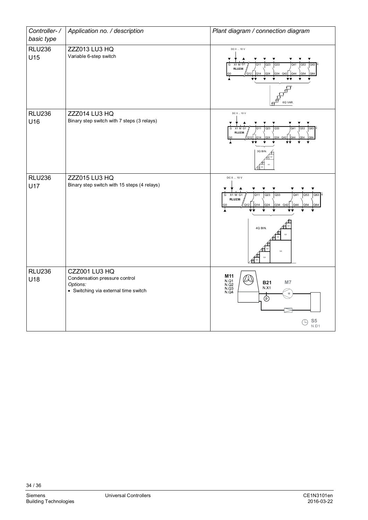| Controller-/<br>basic type | Application no. / description                                                                      | Plant diagram / connection diagram                                                                                                                          |  |
|----------------------------|----------------------------------------------------------------------------------------------------|-------------------------------------------------------------------------------------------------------------------------------------------------------------|--|
| <b>RLU236</b><br>U15       | ZZZ013 LU3 HQ<br>Variable 6-step switch                                                            | DC 0  10 V<br>X1 M G1<br>Q <sub>33</sub><br>G<br>Q23<br>O41<br>Q53<br>Q63<br><b>RLU236</b><br>Q14<br>Q44<br>024<br>Q34<br>Q42<br>O <sub>54</sub><br>6Q VAR. |  |
| <b>RLU236</b><br>U16       | ZZZ014 LU3 HQ<br>Binary step switch with 7 steps (3 relays)                                        | DC 0  10 V<br>Q33<br>X1 M G1<br>Q23<br>Q41<br>Q53<br>Q63<br>G<br>O11<br><b>RLU236</b><br>014<br>3Q BIN                                                      |  |
| <b>RLU236</b><br>U17       | ZZZ015 LU3 HQ<br>Binary step switch with 15 steps (4 relays)                                       | DC 0  10 V<br>Q33<br>Q23<br>Q41<br>Q53<br>Q63<br>Q11<br>G<br>X1 M G1<br><b>RLU236</b><br>314<br>$\bigcap_{42}$<br>4Q BIN.<br>Q4                             |  |
| <b>RLU236</b><br>U18       | CZZ001 LU3 HQ<br>Condensation pressure control<br>Options:<br>• Switching via external time switch | M11<br>W<br>N Q1<br>N Q2<br>N Q3<br>N Q4<br>M7<br><b>B21</b><br>N X1<br>$\overline{\mathbb{O}}$<br>${\sf S5}$<br>⊕<br>N.D1                                  |  |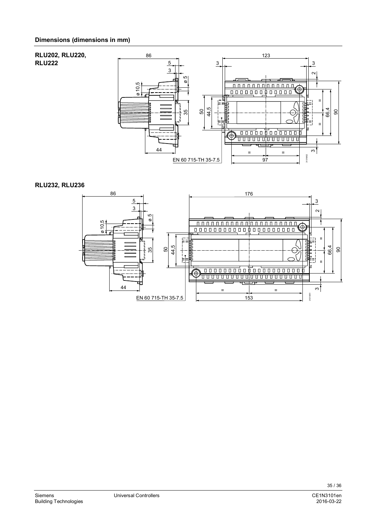#### **RLU202, RLU220,**  86 123 **RLU222**  5 3 3 3  $\sim$  $\frac{3}{2}$   $\frac{2}{2}$ م<br>ø 10,5 000000000000 ø $\overline{1}$ 44,5 66,4 50 90 35 ⊨⊨ 듸  $\overline{a}$ ╖ <del>ooo</del>ooboo<del>ooo</del> <del>. . . . . . . . . . . . . . . .</del> 44  $\mathfrak{S}$ = = 3101M02 EN 60 715-TH 35-7.5 97

#### **RLU232, RLU236**